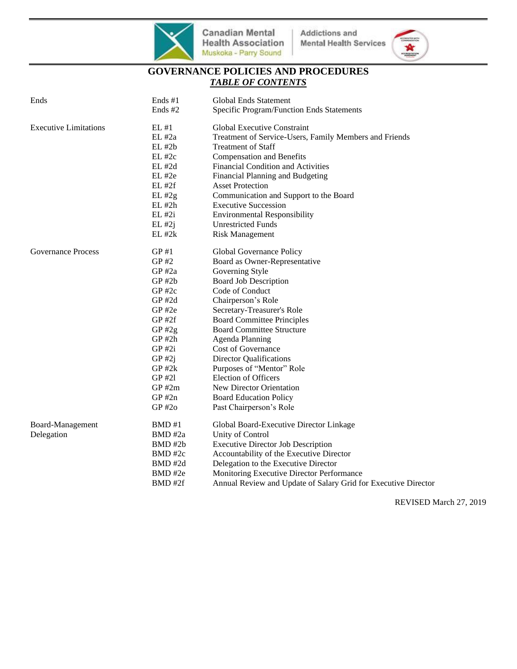

 $\overline{a}$ 



# **GOVERNANCE POLICIES AND PROCEDURES** *TABLE OF CONTENTS*

| Ends                         | Ends #1     | Global Ends Statement                                          |
|------------------------------|-------------|----------------------------------------------------------------|
|                              | Ends #2     | Specific Program/Function Ends Statements                      |
| <b>Executive Limitations</b> | EL #1       | <b>Global Executive Constraint</b>                             |
|                              | EL #2a      | Treatment of Service-Users, Family Members and Friends         |
|                              | $EL$ #2 $b$ | <b>Treatment of Staff</b>                                      |
|                              | EL #2c      | <b>Compensation and Benefits</b>                               |
|                              | $EL$ #2d    | Financial Condition and Activities                             |
|                              | $EL$ #2e    | Financial Planning and Budgeting                               |
|                              | $EL$ #2 $f$ | <b>Asset Protection</b>                                        |
|                              | $EL$ #2g    | Communication and Support to the Board                         |
|                              | EL #2h      | <b>Executive Succession</b>                                    |
|                              | $EL$ #2i    | <b>Environmental Responsibility</b>                            |
|                              | $EL$ #2j    | <b>Unrestricted Funds</b>                                      |
|                              | $EL$ #2 $k$ | <b>Risk Management</b>                                         |
| <b>Governance Process</b>    | GP#1        | Global Governance Policy                                       |
|                              | GP#2        | Board as Owner-Representative                                  |
|                              | $GP$ #2a    | Governing Style                                                |
|                              | $GP$ #2 $b$ | <b>Board Job Description</b>                                   |
|                              | GP #2c      | Code of Conduct                                                |
|                              | $GP$ #2d    | Chairperson's Role                                             |
|                              | GP#2e       | Secretary-Treasurer's Role                                     |
|                              | GP#2f       | <b>Board Committee Principles</b>                              |
|                              | $GP$ #2g    | <b>Board Committee Structure</b>                               |
|                              | $GP$ #2h    | Agenda Planning                                                |
|                              | GP #2i      | <b>Cost of Governance</b>                                      |
|                              | $GP$ #2j    | <b>Director Qualifications</b>                                 |
|                              | $GP$ #2 $k$ | Purposes of "Mentor" Role                                      |
|                              | GP #21      | <b>Election of Officers</b>                                    |
|                              | $GP$ #2m    | New Director Orientation                                       |
|                              | $GP$ #2n    | <b>Board Education Policy</b>                                  |
|                              | $GP$ #2o    | Past Chairperson's Role                                        |
| Board-Management             | BMD#1       | Global Board-Executive Director Linkage                        |
| Delegation                   | BMD#2a      | Unity of Control                                               |
|                              | BMD#2b      | <b>Executive Director Job Description</b>                      |
|                              | BMD#2c      | Accountability of the Executive Director                       |
|                              | BMD#2d      | Delegation to the Executive Director                           |
|                              | BMD#2e      | Monitoring Executive Director Performance                      |
|                              | BMD#2f      | Annual Review and Update of Salary Grid for Executive Director |
|                              |             |                                                                |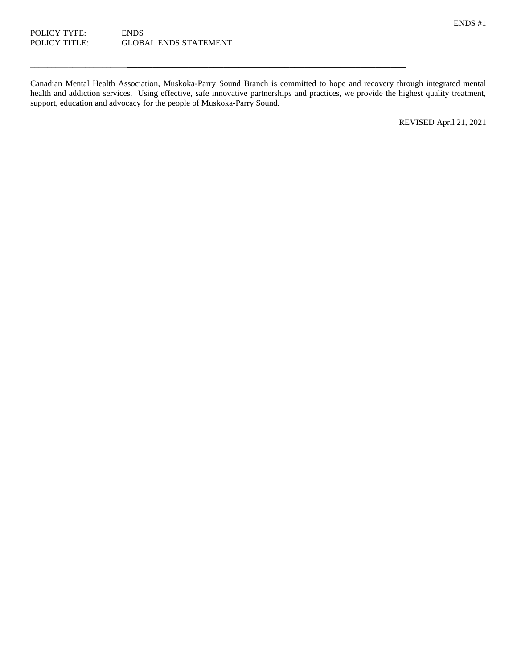ENDS #1

Canadian Mental Health Association, Muskoka-Parry Sound Branch is committed to hope and recovery through integrated mental health and addiction services. Using effective, safe innovative partnerships and practices, we provide the highest quality treatment, support, education and advocacy for the people of Muskoka-Parry Sound.

\_\_\_\_\_\_\_\_\_\_\_\_\_\_\_\_\_\_\_\_\_\_\_\_\_\_\_\_\_\_\_\_\_\_\_\_\_\_\_\_\_\_\_\_\_\_\_\_\_\_\_\_\_\_\_\_\_\_\_\_\_\_\_\_\_\_\_\_\_\_\_\_\_\_\_\_\_\_

REVISED April 21, 2021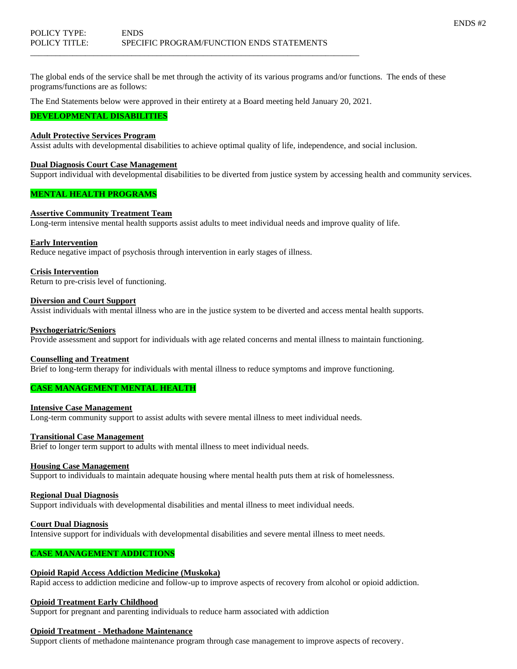The global ends of the service shall be met through the activity of its various programs and/or functions. The ends of these programs/functions are as follows:

The End Statements below were approved in their entirety at a Board meeting held January 20, 2021.

\_\_\_\_\_\_\_\_\_\_\_\_\_\_\_\_\_\_\_\_\_\_\_\_\_\_\_\_\_\_\_\_\_\_\_\_\_\_\_\_\_\_\_\_\_\_\_\_\_\_\_\_\_\_\_\_\_\_\_\_\_\_\_\_\_\_\_\_\_\_\_\_\_\_\_\_\_\_

#### **DEVELOPMENTAL DISABILITIES**

## **Adult Protective Services Program**

Assist adults with developmental disabilities to achieve optimal quality of life, independence, and social inclusion.

#### **Dual Diagnosis Court Case Management**

Support individual with developmental disabilities to be diverted from justice system by accessing health and community services.

### **MENTAL HEALTH PROGRAMS**

#### **Assertive Community Treatment Team**

Long-term intensive mental health supports assist adults to meet individual needs and improve quality of life.

#### **Early Intervention**

Reduce negative impact of psychosis through intervention in early stages of illness.

#### **Crisis Intervention**

Return to pre-crisis level of functioning.

#### **Diversion and Court Support**

Assist individuals with mental illness who are in the justice system to be diverted and access mental health supports.

#### **Psychogeriatric/Seniors**

Provide assessment and support for individuals with age related concerns and mental illness to maintain functioning.

#### **Counselling and Treatment**

Brief to long-term therapy for individuals with mental illness to reduce symptoms and improve functioning.

## **CASE MANAGEMENT MENTAL HEALTH**

### **Intensive Case Management**

Long-term community support to assist adults with severe mental illness to meet individual needs.

#### **Transitional Case Management**

Brief to longer term support to adults with mental illness to meet individual needs.

#### **Housing Case Management**

Support to individuals to maintain adequate housing where mental health puts them at risk of homelessness.

#### **Regional Dual Diagnosis**

Support individuals with developmental disabilities and mental illness to meet individual needs.

**Court Dual Diagnosis**

Intensive support for individuals with developmental disabilities and severe mental illness to meet needs.

## **CASE MANAGEMENT ADDICTIONS**

#### **Opioid Rapid Access Addiction Medicine (Muskoka)**

Rapid access to addiction medicine and follow-up to improve aspects of recovery from alcohol or opioid addiction.

#### **Opioid Treatment Early Childhood**

Support for pregnant and parenting individuals to reduce harm associated with addiction

#### **Opioid Treatment - Methadone Maintenance**

Support clients of methadone maintenance program through case management to improve aspects of recovery.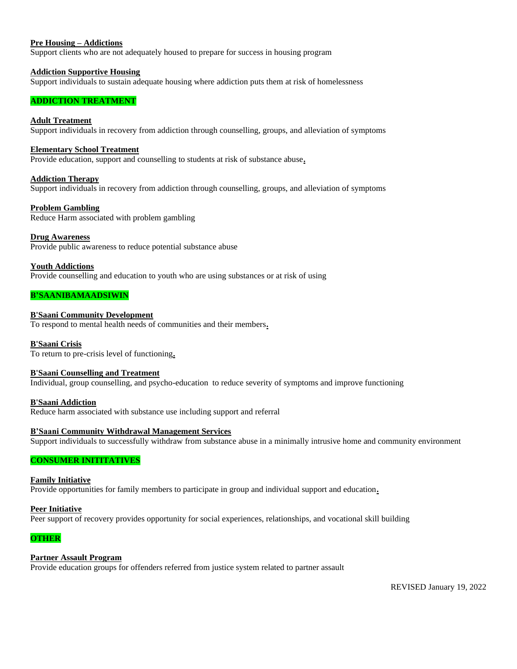#### **Pre Housing – Addictions**

Support clients who are not adequately housed to prepare for success in housing program

#### **Addiction Supportive Housing**

Support individuals to sustain adequate housing where addiction puts them at risk of homelessness

## **ADDICTION TREATMENT**

## **Adult Treatment**

Support individuals in recovery from addiction through counselling, groups, and alleviation of symptoms

#### **Elementary School Treatment**

Provide education, support and counselling to students at risk of substance abuse**.**

#### **Addiction Therapy**

Support individuals in recovery from addiction through counselling, groups, and alleviation of symptoms

#### **Problem Gambling**

Reduce Harm associated with problem gambling

#### **Drug Awareness**

Provide public awareness to reduce potential substance abuse

#### **Youth Addictions**

Provide counselling and education to youth who are using substances or at risk of using

#### **B'SAANIBAMAADSIWIN**

#### **B'Saani Community Development**

To respond to mental health needs of communities and their members**.**

#### **B'Saani Crisis**

To return to pre-crisis level of functioning**.**

#### **B'Saani Counselling and Treatment**

Individual, group counselling, and psycho-education to reduce severity of symptoms and improve functioning

#### **B'Saani Addiction**

Reduce harm associated with substance use including support and referral

## **B'Saani Community Withdrawal Management Services**

Support individuals to successfully withdraw from substance abuse in a minimally intrusive home and community environment

## **CONSUMER INITITATIVES**

#### **Family Initiative**

Provide opportunities for family members to participate in group and individual support and education**.**

#### **Peer Initiative**

Peer support of recovery provides opportunity for social experiences, relationships, and vocational skill building

#### **OTHER**

## **Partner Assault Program**

Provide education groups for offenders referred from justice system related to partner assault

REVISED January 19, 2022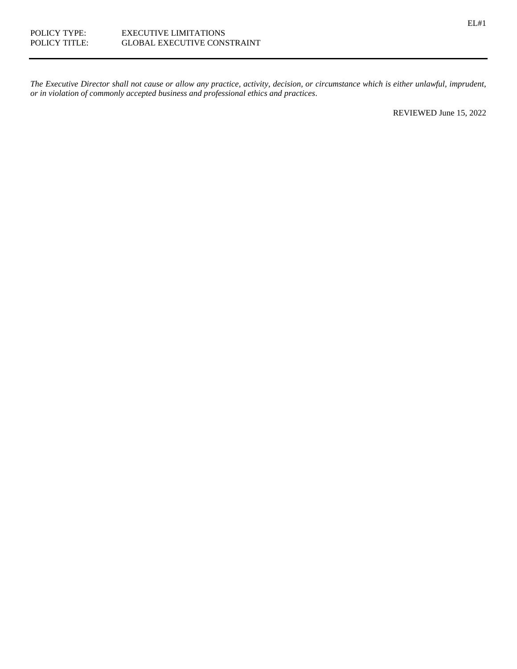*The Executive Director shall not cause or allow any practice, activity, decision, or circumstance which is either unlawful, imprudent, or in violation of commonly accepted business and professional ethics and practices*.

REVIEWED June 15, 2022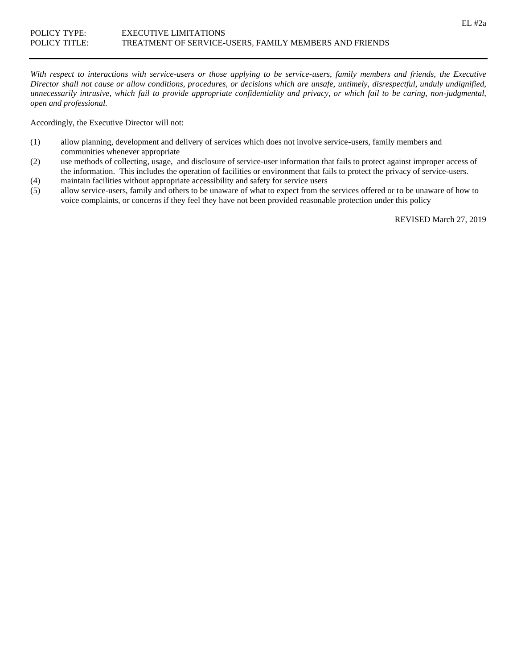*With respect to interactions with service-users or those applying to be service-users, family members and friends, the Executive Director shall not cause or allow conditions, procedures, or decisions which are unsafe, untimely, disrespectful, unduly undignified, unnecessarily intrusive, which fail to provide appropriate confidentiality and privacy, or which fail to be caring, non-judgmental, open and professional.*

Accordingly, the Executive Director will not:

- (1) allow planning, development and delivery of services which does not involve service-users, family members and communities whenever appropriate
- (2) use methods of collecting, usage, and disclosure of service-user information that fails to protect against improper access of the information. This includes the operation of facilities or environment that fails to protect the privacy of service-users.
- (4) maintain facilities without appropriate accessibility and safety for service users
- (5) allow service-users, family and others to be unaware of what to expect from the services offered or to be unaware of how to voice complaints, or concerns if they feel they have not been provided reasonable protection under this policy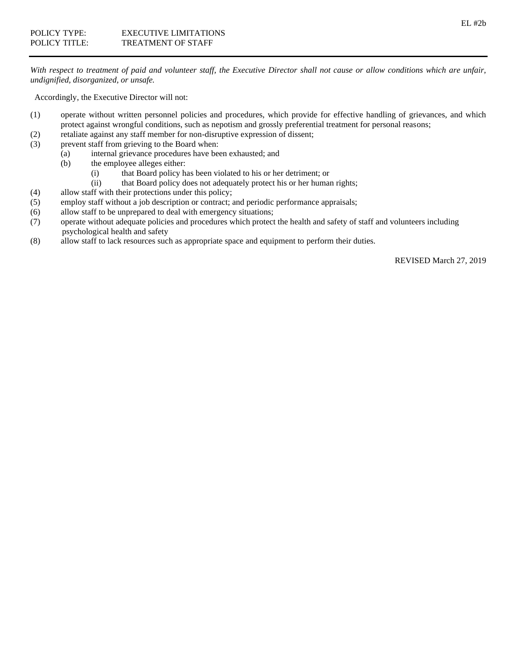*With respect to treatment of paid and volunteer staff, the Executive Director shall not cause or allow conditions which are unfair, undignified, disorganized, or unsafe.*

Accordingly, the Executive Director will not:

- (1) operate without written personnel policies and procedures, which provide for effective handling of grievances, and which protect against wrongful conditions, such as nepotism and grossly preferential treatment for personal reasons;
- (2) retaliate against any staff member for non-disruptive expression of dissent;
- (3) prevent staff from grieving to the Board when:
	- (a) internal grievance procedures have been exhausted; and
	- (b) the employee alleges either:
		- (i) that Board policy has been violated to his or her detriment; or
		- (ii) that Board policy does not adequately protect his or her human rights;
- (4) allow staff with their protections under this policy;
- (5) employ staff without a job description or contract; and periodic performance appraisals;
- (6) allow staff to be unprepared to deal with emergency situations;
- (7) operate without adequate policies and procedures which protect the health and safety of staff and volunteers including psychological health and safety
- (8) allow staff to lack resources such as appropriate space and equipment to perform their duties.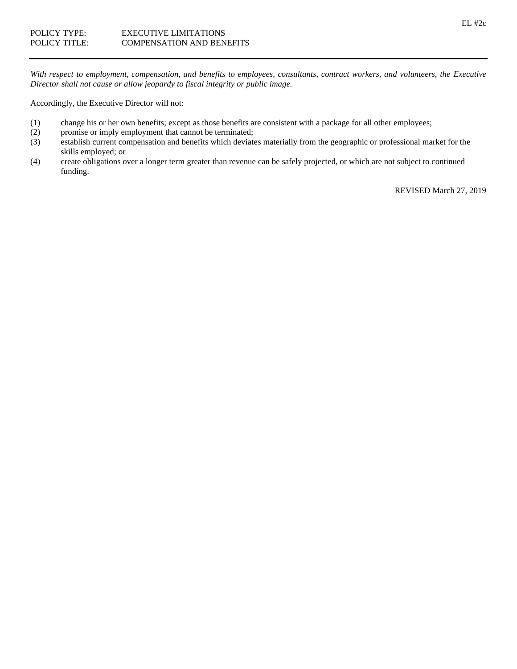*With respect to employment, compensation, and benefits to employees, consultants, contract workers, and volunteers, the Executive Director shall not cause or allow jeopardy to fiscal integrity or public image.*

Accordingly, the Executive Director will not:

- (1) change his or her own benefits; except as those benefits are consistent with a package for all other employees;
- (2) promise or imply employment that cannot be terminated;
- (3) establish current compensation and benefits which deviates materially from the geographic or professional market for the skills employed; or
- (4) create obligations over a longer term greater than revenue can be safely projected, or which are not subject to continued funding.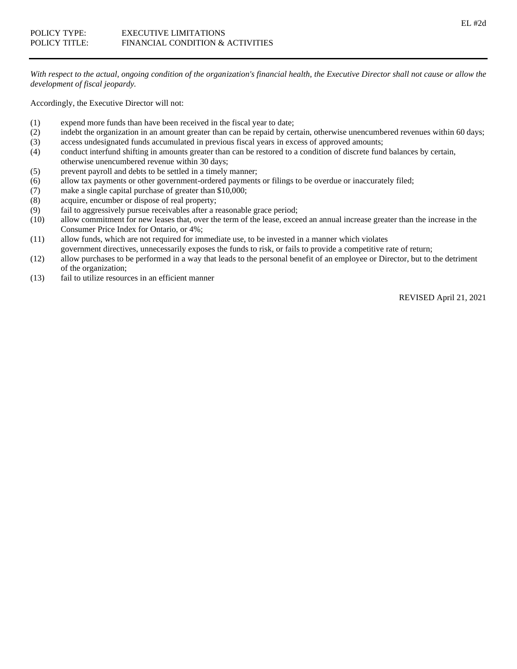*With respect to the actual, ongoing condition of the organization's financial health, the Executive Director shall not cause or allow the development of fiscal jeopardy.*

Accordingly, the Executive Director will not:

- (1) expend more funds than have been received in the fiscal year to date;
- (2) indebt the organization in an amount greater than can be repaid by certain, otherwise unencumbered revenues within 60 days;
- (3) access undesignated funds accumulated in previous fiscal years in excess of approved amounts;
- (4) conduct interfund shifting in amounts greater than can be restored to a condition of discrete fund balances by certain, otherwise unencumbered revenue within 30 days;
- (5) prevent payroll and debts to be settled in a timely manner;
- (6) allow tax payments or other government-ordered payments or filings to be overdue or inaccurately filed;
- (7) make a single capital purchase of greater than \$10,000;
- (8) acquire, encumber or dispose of real property;
- (9) fail to aggressively pursue receivables after a reasonable grace period;
- (10) allow commitment for new leases that, over the term of the lease, exceed an annual increase greater than the increase in the Consumer Price Index for Ontario, or 4%;
- (11) allow funds, which are not required for immediate use, to be invested in a manner which violates government directives, unnecessarily exposes the funds to risk, or fails to provide a competitive rate of return;
- (12) allow purchases to be performed in a way that leads to the personal benefit of an employee or Director, but to the detriment of the organization;
- (13) fail to utilize resources in an efficient manner

REVISED April 21, 2021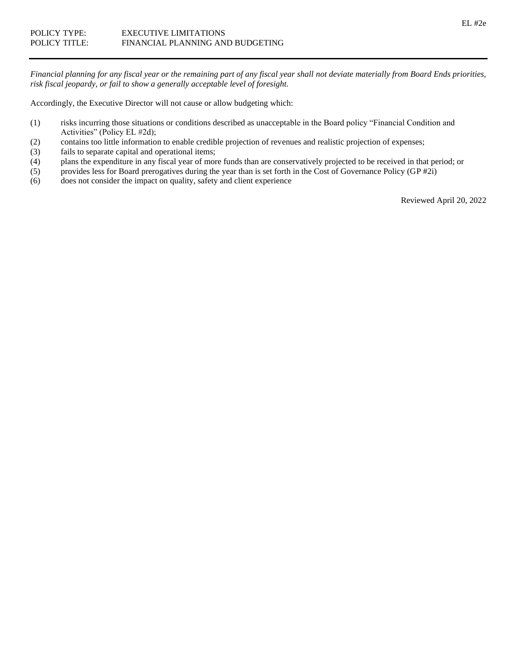*Financial planning for any fiscal year or the remaining part of any fiscal year shall not deviate materially from Board Ends priorities, risk fiscal jeopardy, or fail to show a generally acceptable level of foresight.*

Accordingly, the Executive Director will not cause or allow budgeting which:

- (1) risks incurring those situations or conditions described as unacceptable in the Board policy "Financial Condition and Activities" (Policy EL #2d);
- (2) contains too little information to enable credible projection of revenues and realistic projection of expenses;
- (3) fails to separate capital and operational items;
- (4) plans the expenditure in any fiscal year of more funds than are conservatively projected to be received in that period; or
- (5) provides less for Board prerogatives during the year than is set forth in the Cost of Governance Policy (GP #2i)
- (6) does not consider the impact on quality, safety and client experience

Reviewed April 20, 2022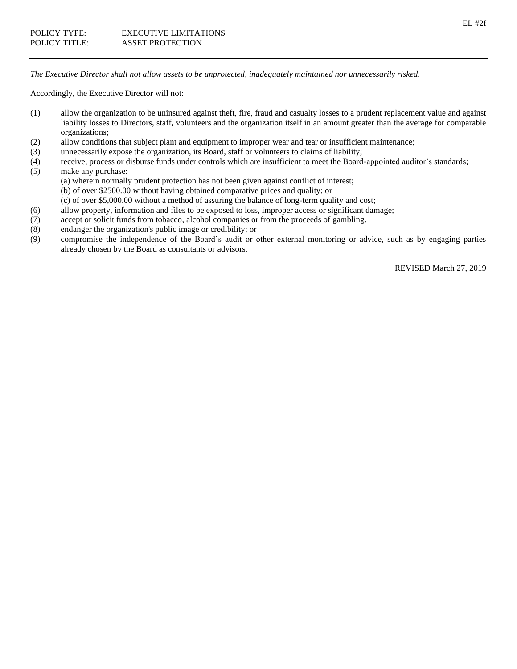*The Executive Director shall not allow assets to be unprotected, inadequately maintained nor unnecessarily risked.*

Accordingly, the Executive Director will not:

- (1) allow the organization to be uninsured against theft, fire, fraud and casualty losses to a prudent replacement value and against liability losses to Directors, staff, volunteers and the organization itself in an amount greater than the average for comparable organizations;
- (2) allow conditions that subject plant and equipment to improper wear and tear or insufficient maintenance;
- (3) unnecessarily expose the organization, its Board, staff or volunteers to claims of liability;
- (4) receive, process or disburse funds under controls which are insufficient to meet the Board-appointed auditor's standards;
- (5) make any purchase:
	- (a) wherein normally prudent protection has not been given against conflict of interest;
	- (b) of over \$2500.00 without having obtained comparative prices and quality; or
	- (c) of over \$5,000.00 without a method of assuring the balance of long-term quality and cost;
- (6) allow property, information and files to be exposed to loss, improper access or significant damage;
- (7) accept or solicit funds from tobacco, alcohol companies or from the proceeds of gambling.
- (8) endanger the organization's public image or credibility; or
- (9) compromise the independence of the Board's audit or other external monitoring or advice, such as by engaging parties already chosen by the Board as consultants or advisors.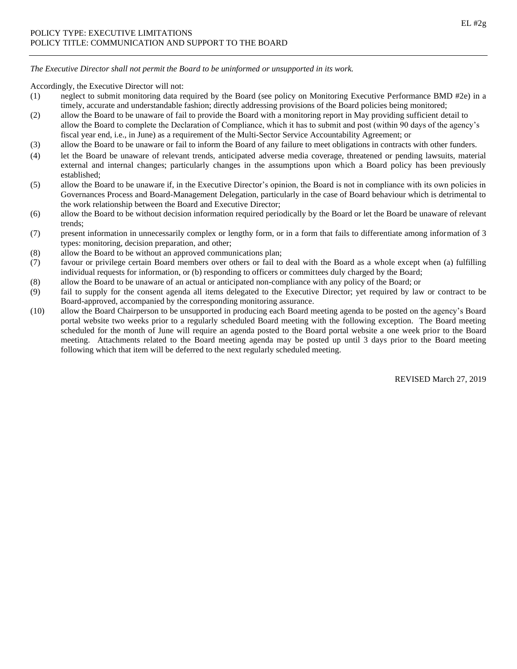*The Executive Director shall not permit the Board to be uninformed or unsupported in its work.*

Accordingly, the Executive Director will not:

- (1) neglect to submit monitoring data required by the Board (see policy on Monitoring Executive Performance BMD #2e) in a timely, accurate and understandable fashion; directly addressing provisions of the Board policies being monitored;
- (2) allow the Board to be unaware of fail to provide the Board with a monitoring report in May providing sufficient detail to allow the Board to complete the Declaration of Compliance, which it has to submit and post (within 90 days of the agency's fiscal year end, i.e., in June) as a requirement of the Multi-Sector Service Accountability Agreement; or
- (3) allow the Board to be unaware or fail to inform the Board of any failure to meet obligations in contracts with other funders.
- (4) let the Board be unaware of relevant trends, anticipated adverse media coverage, threatened or pending lawsuits, material external and internal changes; particularly changes in the assumptions upon which a Board policy has been previously established;
- (5) allow the Board to be unaware if, in the Executive Director's opinion, the Board is not in compliance with its own policies in Governances Process and Board-Management Delegation, particularly in the case of Board behaviour which is detrimental to the work relationship between the Board and Executive Director;
- (6) allow the Board to be without decision information required periodically by the Board or let the Board be unaware of relevant trends;
- (7) present information in unnecessarily complex or lengthy form, or in a form that fails to differentiate among information of 3 types: monitoring, decision preparation, and other;
- (8) allow the Board to be without an approved communications plan;
- (7) favour or privilege certain Board members over others or fail to deal with the Board as a whole except when (a) fulfilling individual requests for information, or (b) responding to officers or committees duly charged by the Board;
- (8) allow the Board to be unaware of an actual or anticipated non-compliance with any policy of the Board; or
- (9) fail to supply for the consent agenda all items delegated to the Executive Director; yet required by law or contract to be Board-approved, accompanied by the corresponding monitoring assurance.
- (10) allow the Board Chairperson to be unsupported in producing each Board meeting agenda to be posted on the agency's Board portal website two weeks prior to a regularly scheduled Board meeting with the following exception. The Board meeting scheduled for the month of June will require an agenda posted to the Board portal website a one week prior to the Board meeting. Attachments related to the Board meeting agenda may be posted up until 3 days prior to the Board meeting following which that item will be deferred to the next regularly scheduled meeting.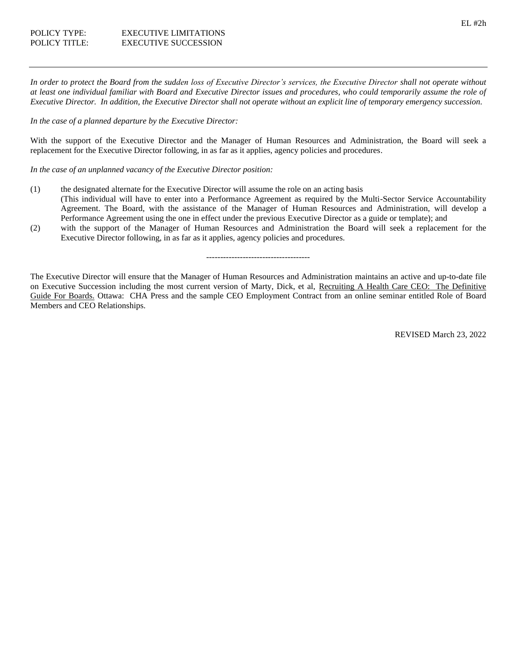*In order to protect the Board from the sudden loss of Executive Director's services, the Executive Director shall not operate without at least one individual familiar with Board and Executive Director issues and procedures, who could temporarily assume the role of Executive Director. In addition, the Executive Director shall not operate without an explicit line of temporary emergency succession.*

#### *In the case of a planned departure by the Executive Director:*

With the support of the Executive Director and the Manager of Human Resources and Administration, the Board will seek a replacement for the Executive Director following, in as far as it applies, agency policies and procedures.

*In the case of an unplanned vacancy of the Executive Director position:*

- (1) the designated alternate for the Executive Director will assume the role on an acting basis (This individual will have to enter into a Performance Agreement as required by the Multi-Sector Service Accountability Agreement. The Board, with the assistance of the Manager of Human Resources and Administration, will develop a Performance Agreement using the one in effect under the previous Executive Director as a guide or template); and
- (2) with the support of the Manager of Human Resources and Administration the Board will seek a replacement for the Executive Director following, in as far as it applies, agency policies and procedures.

#### -------------------------------------

The Executive Director will ensure that the Manager of Human Resources and Administration maintains an active and up-to-date file on Executive Succession including the most current version of Marty, Dick, et al, Recruiting A Health Care CEO: The Definitive Guide For Boards. Ottawa: CHA Press and the sample CEO Employment Contract from an online seminar entitled Role of Board Members and CEO Relationships.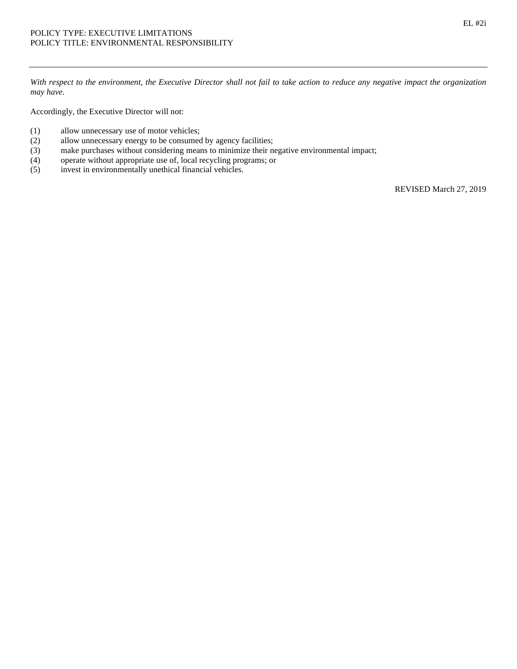*With respect to the environment, the Executive Director shall not fail to take action to reduce any negative impact the organization may have.*

Accordingly, the Executive Director will not:

- (1) allow unnecessary use of motor vehicles;
- (2) allow unnecessary energy to be consumed by agency facilities;
- (3) make purchases without considering means to minimize their negative environmental impact;
- (4) operate without appropriate use of, local recycling programs; or
- (5) invest in environmentally unethical financial vehicles.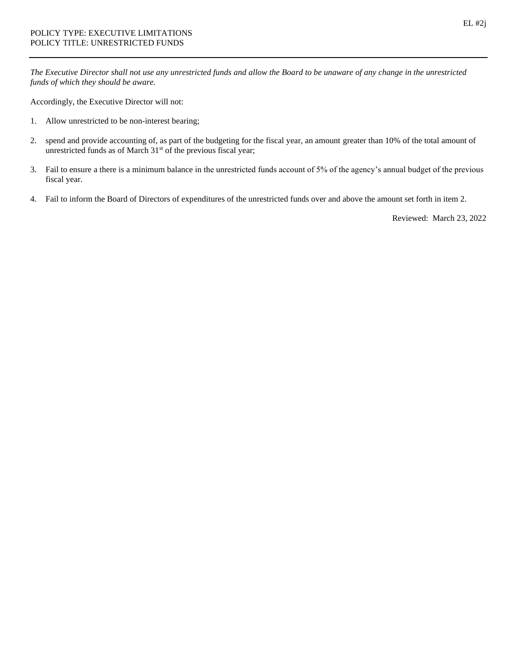*The Executive Director shall not use any unrestricted funds and allow the Board to be unaware of any change in the unrestricted funds of which they should be aware.*

Accordingly, the Executive Director will not:

- 1. Allow unrestricted to be non-interest bearing;
- 2. spend and provide accounting of, as part of the budgeting for the fiscal year, an amount greater than 10% of the total amount of unrestricted funds as of March 31<sup>st</sup> of the previous fiscal year;
- 3. Fail to ensure a there is a minimum balance in the unrestricted funds account of 5% of the agency's annual budget of the previous fiscal year.
- 4. Fail to inform the Board of Directors of expenditures of the unrestricted funds over and above the amount set forth in item 2.

Reviewed: March 23, 2022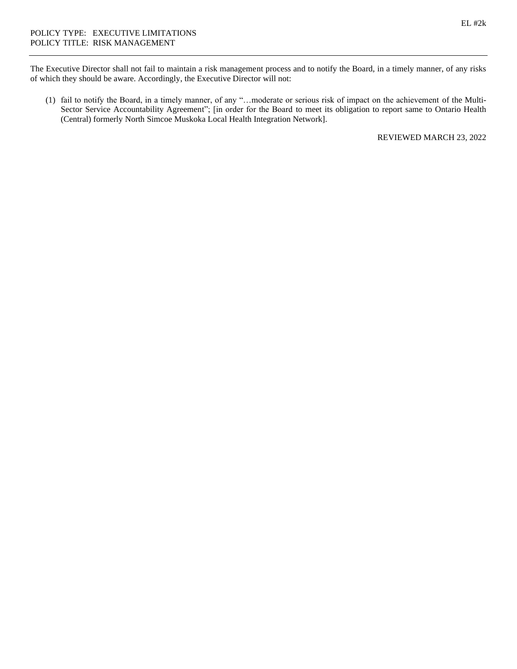The Executive Director shall not fail to maintain a risk management process and to notify the Board, in a timely manner, of any risks of which they should be aware. Accordingly, the Executive Director will not:

(1) fail to notify the Board, in a timely manner, of any "…moderate or serious risk of impact on the achievement of the Multi-Sector Service Accountability Agreement"; [in order for the Board to meet its obligation to report same to Ontario Health (Central) formerly North Simcoe Muskoka Local Health Integration Network].

REVIEWED MARCH 23, 2022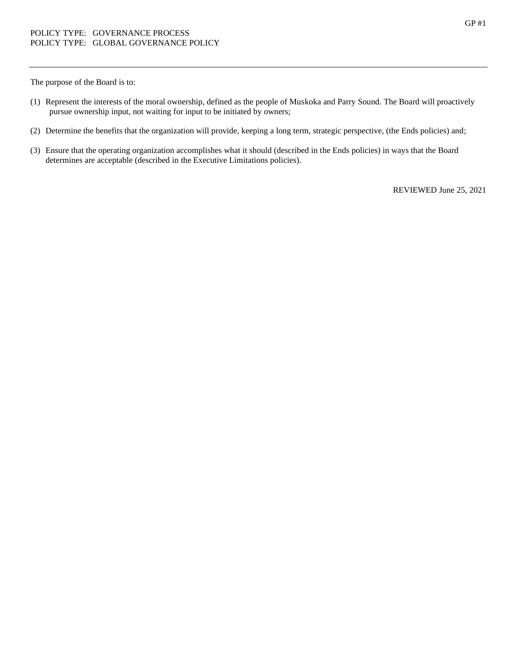The purpose of the Board is to:

- (1) Represent the interests of the moral ownership, defined as the people of Muskoka and Parry Sound. The Board will proactively pursue ownership input, not waiting for input to be initiated by owners;
- (2) Determine the benefits that the organization will provide, keeping a long term, strategic perspective, (the Ends policies) and;
- (3) Ensure that the operating organization accomplishes what it should (described in the Ends policies) in ways that the Board determines are acceptable (described in the Executive Limitations policies).

REVIEWED June 25, 2021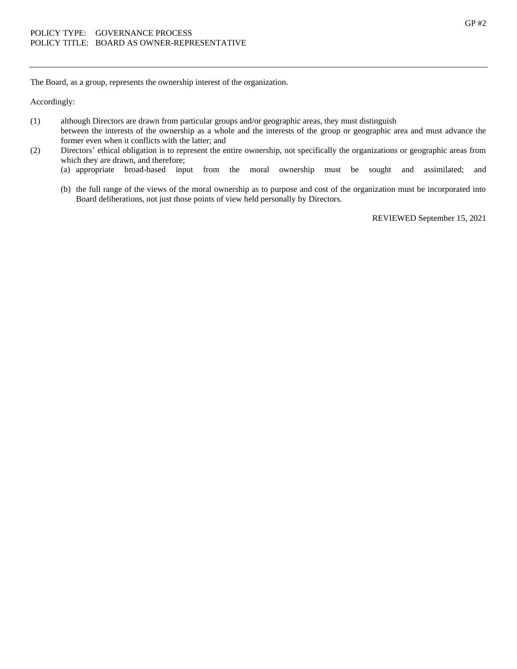The Board, as a group, represents the ownership interest of the organization.

Accordingly:

- (1) although Directors are drawn from particular groups and/or geographic areas, they must distinguish
- between the interests of the ownership as a whole and the interests of the group or geographic area and must advance the former even when it conflicts with the latter; and
- (2) Directors' ethical obligation is to represent the entire ownership, not specifically the organizations or geographic areas from which they are drawn, and therefore;
	- (a) appropriate broad-based input from the moral ownership must be sought and assimilated; and
	- (b) the full range of the views of the moral ownership as to purpose and cost of the organization must be incorporated into Board deliberations, not just those points of view held personally by Directors.

REVIEWED September 15, 2021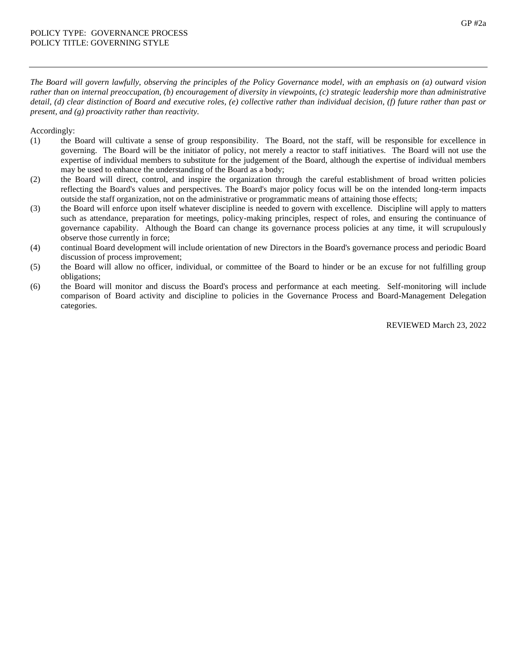*The Board will govern lawfully, observing the principles of the Policy Governance model, with an emphasis on (a) outward vision rather than on internal preoccupation, (b) encouragement of diversity in viewpoints, (c) strategic leadership more than administrative detail, (d) clear distinction of Board and executive roles, (e) collective rather than individual decision, (f) future rather than past or present, and (g) proactivity rather than reactivity.* 

Accordingly:

- (1) the Board will cultivate a sense of group responsibility. The Board, not the staff, will be responsible for excellence in governing. The Board will be the initiator of policy, not merely a reactor to staff initiatives. The Board will not use the expertise of individual members to substitute for the judgement of the Board, although the expertise of individual members may be used to enhance the understanding of the Board as a body;
- (2) the Board will direct, control, and inspire the organization through the careful establishment of broad written policies reflecting the Board's values and perspectives. The Board's major policy focus will be on the intended long-term impacts outside the staff organization, not on the administrative or programmatic means of attaining those effects;
- (3) the Board will enforce upon itself whatever discipline is needed to govern with excellence. Discipline will apply to matters such as attendance, preparation for meetings, policy-making principles, respect of roles, and ensuring the continuance of governance capability. Although the Board can change its governance process policies at any time, it will scrupulously observe those currently in force;
- (4) continual Board development will include orientation of new Directors in the Board's governance process and periodic Board discussion of process improvement;
- (5) the Board will allow no officer, individual, or committee of the Board to hinder or be an excuse for not fulfilling group obligations;
- (6) the Board will monitor and discuss the Board's process and performance at each meeting. Self-monitoring will include comparison of Board activity and discipline to policies in the Governance Process and Board-Management Delegation categories.

REVIEWED March 23, 2022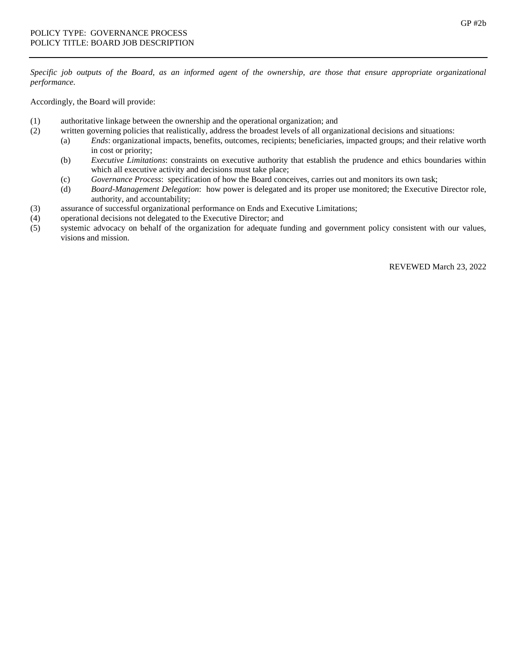*Specific job outputs of the Board, as an informed agent of the ownership, are those that ensure appropriate organizational performance.*

Accordingly, the Board will provide:

- (1) authoritative linkage between the ownership and the operational organization; and
- (2) written governing policies that realistically, address the broadest levels of all organizational decisions and situations:
	- (a) *Ends*: organizational impacts, benefits, outcomes, recipients; beneficiaries, impacted groups; and their relative worth in cost or priority;
	- (b) *Executive Limitations*: constraints on executive authority that establish the prudence and ethics boundaries within which all executive activity and decisions must take place;
	- (c) *Governance Process*: specification of how the Board conceives, carries out and monitors its own task;
	- (d) *Board-Management Delegation*: how power is delegated and its proper use monitored; the Executive Director role, authority, and accountability;
- (3) assurance of successful organizational performance on Ends and Executive Limitations;
- (4) operational decisions not delegated to the Executive Director; and
- (5) systemic advocacy on behalf of the organization for adequate funding and government policy consistent with our values, visions and mission.

REVEWED March 23, 2022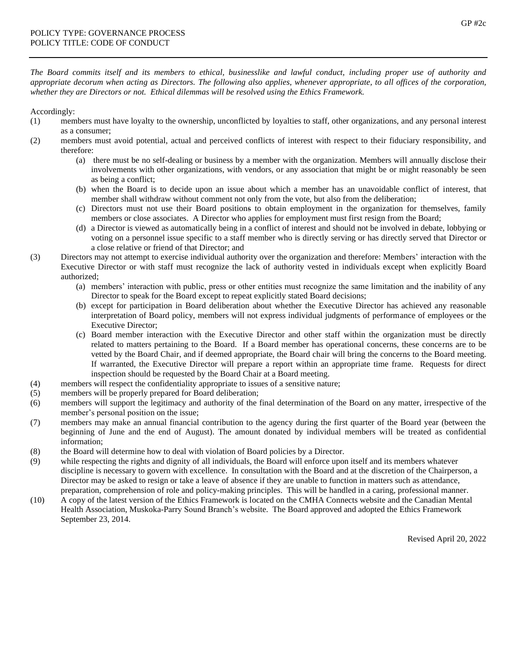*The Board commits itself and its members to ethical, businesslike and lawful conduct, including proper use of authority and appropriate decorum when acting as Directors. The following also applies, whenever appropriate, to all offices of the corporation, whether they are Directors or not. Ethical dilemmas will be resolved using the Ethics Framework.*

Accordingly:

- (1) members must have loyalty to the ownership, unconflicted by loyalties to staff, other organizations, and any personal interest as a consumer;
- (2) members must avoid potential, actual and perceived conflicts of interest with respect to their fiduciary responsibility, and therefore:
	- (a) there must be no self-dealing or business by a member with the organization. Members will annually disclose their involvements with other organizations, with vendors, or any association that might be or might reasonably be seen as being a conflict;
	- (b) when the Board is to decide upon an issue about which a member has an unavoidable conflict of interest, that member shall withdraw without comment not only from the vote, but also from the deliberation;
	- (c) Directors must not use their Board positions to obtain employment in the organization for themselves, family members or close associates. A Director who applies for employment must first resign from the Board;
	- (d) a Director is viewed as automatically being in a conflict of interest and should not be involved in debate, lobbying or voting on a personnel issue specific to a staff member who is directly serving or has directly served that Director or a close relative or friend of that Director; and
- (3) Directors may not attempt to exercise individual authority over the organization and therefore: Members' interaction with the Executive Director or with staff must recognize the lack of authority vested in individuals except when explicitly Board authorized;
	- (a) members' interaction with public, press or other entities must recognize the same limitation and the inability of any Director to speak for the Board except to repeat explicitly stated Board decisions;
	- (b) except for participation in Board deliberation about whether the Executive Director has achieved any reasonable interpretation of Board policy, members will not express individual judgments of performance of employees or the Executive Director;
	- (c) Board member interaction with the Executive Director and other staff within the organization must be directly related to matters pertaining to the Board. If a Board member has operational concerns, these concerns are to be vetted by the Board Chair, and if deemed appropriate, the Board chair will bring the concerns to the Board meeting. If warranted, the Executive Director will prepare a report within an appropriate time frame. Requests for direct inspection should be requested by the Board Chair at a Board meeting.
- (4) members will respect the confidentiality appropriate to issues of a sensitive nature;
- (5) members will be properly prepared for Board deliberation;
- (6) members will support the legitimacy and authority of the final determination of the Board on any matter, irrespective of the member's personal position on the issue;
- (7) members may make an annual financial contribution to the agency during the first quarter of the Board year (between the beginning of June and the end of August). The amount donated by individual members will be treated as confidential information;
- (8) the Board will determine how to deal with violation of Board policies by a Director.
- (9) while respecting the rights and dignity of all individuals, the Board will enforce upon itself and its members whatever discipline is necessary to govern with excellence. In consultation with the Board and at the discretion of the Chairperson, a Director may be asked to resign or take a leave of absence if they are unable to function in matters such as attendance, preparation, comprehension of role and policy-making principles. This will be handled in a caring, professional manner.
- (10) A copy of the latest version of the Ethics Framework is located on the CMHA Connects website and the Canadian Mental Health Association, Muskoka-Parry Sound Branch's website. The Board approved and adopted the Ethics Framework September 23, 2014.

Revised April 20, 2022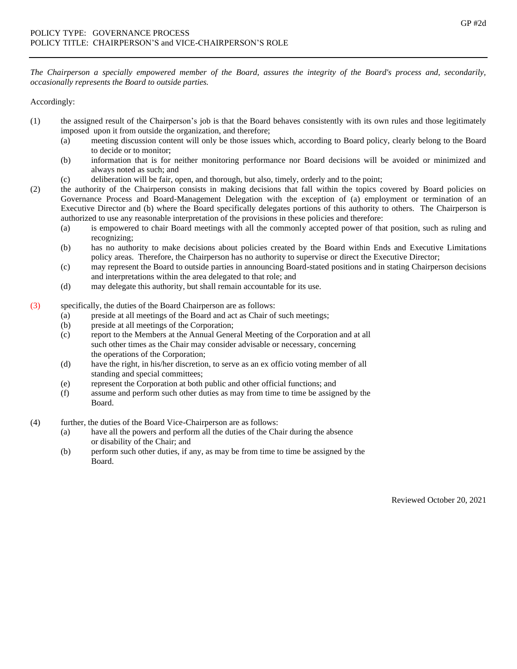*The Chairperson a specially empowered member of the Board, assures the integrity of the Board's process and, secondarily, occasionally represents the Board to outside parties.* 

Accordingly:

- (1) the assigned result of the Chairperson's job is that the Board behaves consistently with its own rules and those legitimately imposed upon it from outside the organization, and therefore;
	- (a) meeting discussion content will only be those issues which, according to Board policy, clearly belong to the Board to decide or to monitor;
	- (b) information that is for neither monitoring performance nor Board decisions will be avoided or minimized and always noted as such; and
	- (c) deliberation will be fair, open, and thorough, but also, timely, orderly and to the point;
- (2) the authority of the Chairperson consists in making decisions that fall within the topics covered by Board policies on Governance Process and Board-Management Delegation with the exception of (a) employment or termination of an Executive Director and (b) where the Board specifically delegates portions of this authority to others. The Chairperson is authorized to use any reasonable interpretation of the provisions in these policies and therefore:
	- (a) is empowered to chair Board meetings with all the commonly accepted power of that position, such as ruling and recognizing;
	- (b) has no authority to make decisions about policies created by the Board within Ends and Executive Limitations policy areas. Therefore, the Chairperson has no authority to supervise or direct the Executive Director;
	- (c) may represent the Board to outside parties in announcing Board-stated positions and in stating Chairperson decisions and interpretations within the area delegated to that role; and
	- (d) may delegate this authority, but shall remain accountable for its use.
- (3) specifically, the duties of the Board Chairperson are as follows:
	- (a) preside at all meetings of the Board and act as Chair of such meetings;
	- (b) preside at all meetings of the Corporation;
	- (c) report to the Members at the Annual General Meeting of the Corporation and at all such other times as the Chair may consider advisable or necessary, concerning the operations of the Corporation;
	- (d) have the right, in his/her discretion, to serve as an ex officio voting member of all standing and special committees;
	- (e) represent the Corporation at both public and other official functions; and
	- (f) assume and perform such other duties as may from time to time be assigned by the Board.
- (4) further, the duties of the Board Vice-Chairperson are as follows:
	- (a) have all the powers and perform all the duties of the Chair during the absence or disability of the Chair; and
	- (b) perform such other duties, if any, as may be from time to time be assigned by the Board.

Reviewed October 20, 2021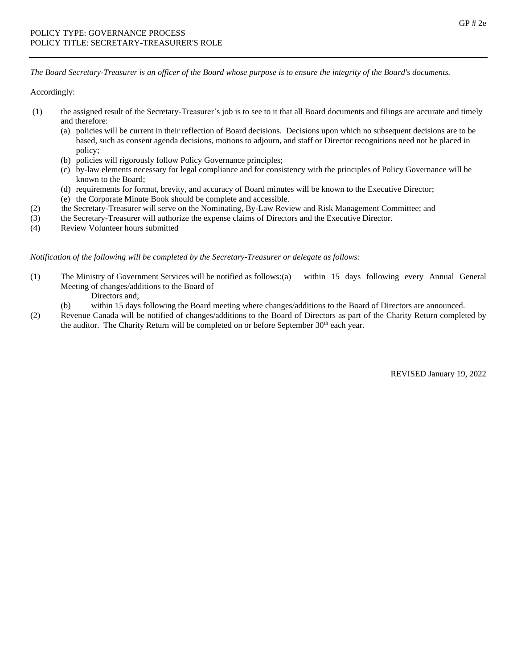*The Board Secretary-Treasurer is an officer of the Board whose purpose is to ensure the integrity of the Board's documents.*

Accordingly:

- (1) the assigned result of the Secretary-Treasurer's job is to see to it that all Board documents and filings are accurate and timely and therefore:
	- (a) policies will be current in their reflection of Board decisions. Decisions upon which no subsequent decisions are to be based, such as consent agenda decisions, motions to adjourn, and staff or Director recognitions need not be placed in policy;
	- (b) policies will rigorously follow Policy Governance principles;
	- (c) by-law elements necessary for legal compliance and for consistency with the principles of Policy Governance will be known to the Board;
	- (d) requirements for format, brevity, and accuracy of Board minutes will be known to the Executive Director;
	- (e) the Corporate Minute Book should be complete and accessible.
- (2) the Secretary-Treasurer will serve on the Nominating, By-Law Review and Risk Management Committee; and
- (3) the Secretary-Treasurer will authorize the expense claims of Directors and the Executive Director.
- (4) Review Volunteer hours submitted

## *Notification of the following will be completed by the Secretary-Treasurer or delegate as follows:*

- (1) The Ministry of Government Services will be notified as follows:(a) within 15 days following every Annual General Meeting of changes/additions to the Board of
	- Directors and;
	- (b) within 15 days following the Board meeting where changes/additions to the Board of Directors are announced.
- (2) Revenue Canada will be notified of changes/additions to the Board of Directors as part of the Charity Return completed by the auditor. The Charity Return will be completed on or before September 30<sup>th</sup> each year.

REVISED January 19, 2022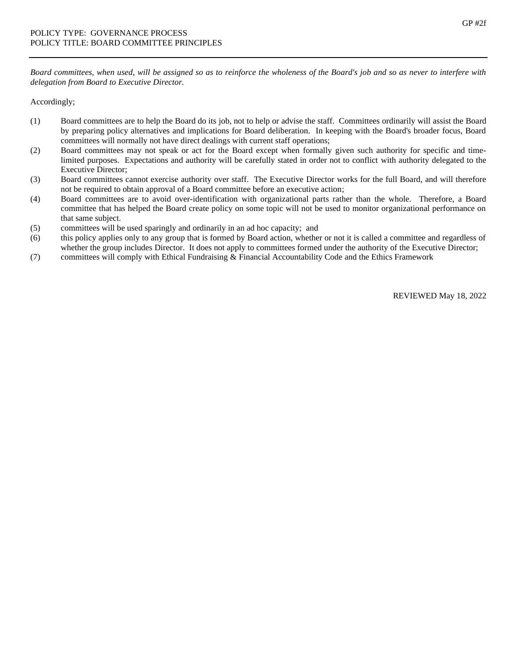*Board committees, when used, will be assigned so as to reinforce the wholeness of the Board's job and so as never to interfere with delegation from Board to Executive Director.*

Accordingly;

- (1) Board committees are to help the Board do its job, not to help or advise the staff. Committees ordinarily will assist the Board by preparing policy alternatives and implications for Board deliberation. In keeping with the Board's broader focus, Board committees will normally not have direct dealings with current staff operations;
- (2) Board committees may not speak or act for the Board except when formally given such authority for specific and timelimited purposes. Expectations and authority will be carefully stated in order not to conflict with authority delegated to the Executive Director;
- (3) Board committees cannot exercise authority over staff. The Executive Director works for the full Board, and will therefore not be required to obtain approval of a Board committee before an executive action;
- (4) Board committees are to avoid over-identification with organizational parts rather than the whole. Therefore, a Board committee that has helped the Board create policy on some topic will not be used to monitor organizational performance on that same subject.
- (5) committees will be used sparingly and ordinarily in an ad hoc capacity; and
- (6) this policy applies only to any group that is formed by Board action, whether or not it is called a committee and regardless of whether the group includes Director. It does not apply to committees formed under the authority of the Executive Director;
- (7) committees will comply with Ethical Fundraising & Financial Accountability Code and the Ethics Framework

REVIEWED May 18, 2022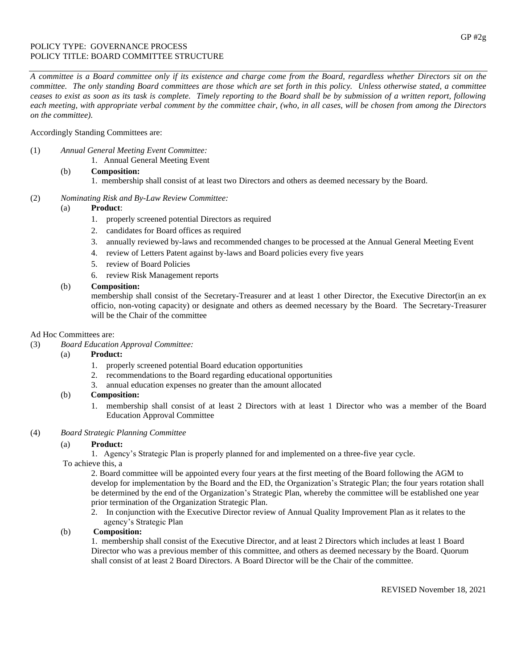## POLICY TYPE: GOVERNANCE PROCESS POLICY TITLE: BOARD COMMITTEE STRUCTURE

*A committee is a Board committee only if its existence and charge come from the Board, regardless whether Directors sit on the committee. The only standing Board committees are those which are set forth in this policy. Unless otherwise stated, a committee ceases to exist as soon as its task is complete. Timely reporting to the Board shall be by submission of a written report, following each meeting, with appropriate verbal comment by the committee chair, (who, in all cases, will be chosen from among the Directors on the committee).*

## Accordingly Standing Committees are:

- (1) *Annual General Meeting Event Committee:*
	- 1. Annual General Meeting Event
	- (b) **Composition:**
		- 1. membership shall consist of at least two Directors and others as deemed necessary by the Board.
- (2) *Nominating Risk and By-Law Review Committee:*

## (a) **Product**:

- 1. properly screened potential Directors as required
- 2. candidates for Board offices as required
- 3. annually reviewed by-laws and recommended changes to be processed at the Annual General Meeting Event
- 4. review of Letters Patent against by-laws and Board policies every five years
- 5. review of Board Policies
- 6. review Risk Management reports

## (b) **Composition:**

membership shall consist of the Secretary-Treasurer and at least 1 other Director, the Executive Director(in an ex officio, non-voting capacity) or designate and others as deemed necessary by the Board. The Secretary-Treasurer will be the Chair of the committee

### Ad Hoc Committees are:

## (3) *Board Education Approval Committee:*

## (a) **Product:**

- 1. properly screened potential Board education opportunities
- 2. recommendations to the Board regarding educational opportunities
- 3. annual education expenses no greater than the amount allocated

## (b) **Composition:**

1. membership shall consist of at least 2 Directors with at least 1 Director who was a member of the Board Education Approval Committee

#### (4) *Board Strategic Planning Committee*

## (a) **Product:**

1. Agency's Strategic Plan is properly planned for and implemented on a three-five year cycle.

## To achieve this, a

2. Board committee will be appointed every four years at the first meeting of the Board following the AGM to develop for implementation by the Board and the ED, the Organization's Strategic Plan; the four years rotation shall be determined by the end of the Organization's Strategic Plan, whereby the committee will be established one year prior termination of the Organization Strategic Plan.

2. In conjunction with the Executive Director review of Annual Quality Improvement Plan as it relates to the agency's Strategic Plan

## (b) **Composition:**

1. membership shall consist of the Executive Director, and at least 2 Directors which includes at least 1 Board Director who was a previous member of this committee, and others as deemed necessary by the Board. Quorum shall consist of at least 2 Board Directors. A Board Director will be the Chair of the committee.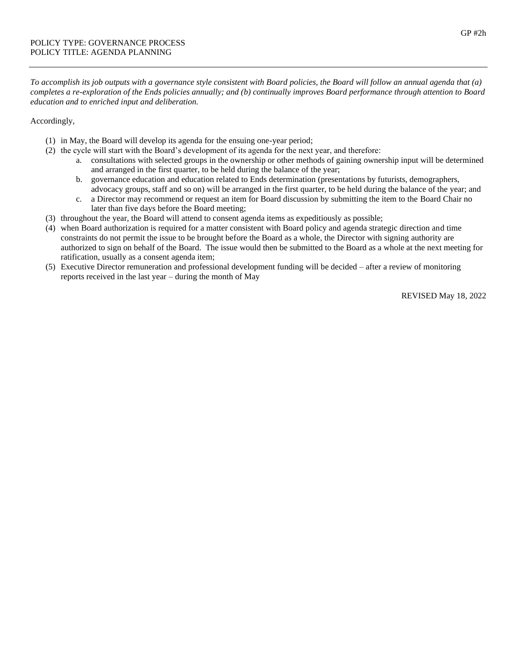*To accomplish its job outputs with a governance style consistent with Board policies, the Board will follow an annual agenda that (a) completes a re-exploration of the Ends policies annually; and (b) continually improves Board performance through attention to Board education and to enriched input and deliberation.*

## Accordingly,

- (1) in May, the Board will develop its agenda for the ensuing one-year period;
- (2) the cycle will start with the Board's development of its agenda for the next year, and therefore:
	- a. consultations with selected groups in the ownership or other methods of gaining ownership input will be determined and arranged in the first quarter, to be held during the balance of the year;
	- b. governance education and education related to Ends determination (presentations by futurists, demographers, advocacy groups, staff and so on) will be arranged in the first quarter, to be held during the balance of the year; and
	- c. a Director may recommend or request an item for Board discussion by submitting the item to the Board Chair no later than five days before the Board meeting;
- (3) throughout the year, the Board will attend to consent agenda items as expeditiously as possible;
- (4) when Board authorization is required for a matter consistent with Board policy and agenda strategic direction and time constraints do not permit the issue to be brought before the Board as a whole, the Director with signing authority are authorized to sign on behalf of the Board. The issue would then be submitted to the Board as a whole at the next meeting for ratification, usually as a consent agenda item;
- (5) Executive Director remuneration and professional development funding will be decided after a review of monitoring reports received in the last year – during the month of May

REVISED May 18, 2022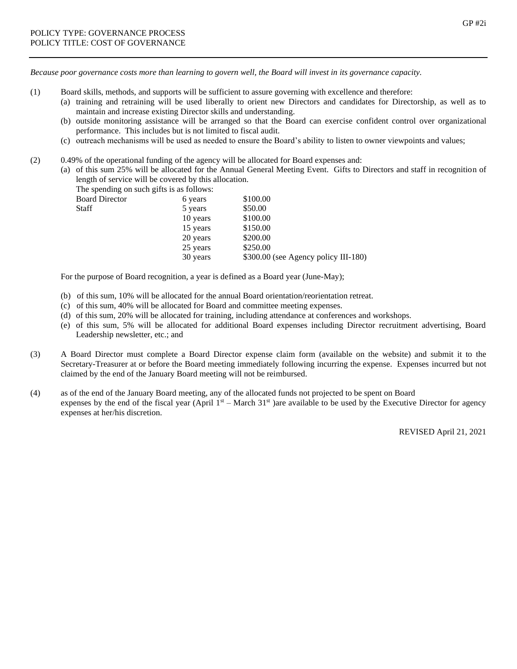*Because poor governance costs more than learning to govern well, the Board will invest in its governance capacity.*

- (1) Board skills, methods, and supports will be sufficient to assure governing with excellence and therefore:
	- (a) training and retraining will be used liberally to orient new Directors and candidates for Directorship, as well as to maintain and increase existing Director skills and understanding.
	- (b) outside monitoring assistance will be arranged so that the Board can exercise confident control over organizational performance. This includes but is not limited to fiscal audit.
	- (c) outreach mechanisms will be used as needed to ensure the Board's ability to listen to owner viewpoints and values;
- (2) 0.49% of the operational funding of the agency will be allocated for Board expenses and:
	- (a) of this sum 25% will be allocated for the Annual General Meeting Event. Gifts to Directors and staff in recognition of length of service will be covered by this allocation.

The spending on such gifts is as follows:

| <b>Board Director</b> | 6 years  | \$100.00 |
|-----------------------|----------|----------|
| <b>Staff</b>          | 5 years  | \$50.00  |
|                       | 10 years | \$100.00 |
|                       | 15 years | \$150.00 |
|                       |          |          |

| л усагы  | OU.UU                                |
|----------|--------------------------------------|
| 10 years | \$100.00                             |
| 15 years | \$150.00                             |
| 20 years | \$200.00                             |
| 25 years | \$250.00                             |
| 30 years | \$300.00 (see Agency policy III-180) |

For the purpose of Board recognition, a year is defined as a Board year (June-May);

- (b) of this sum, 10% will be allocated for the annual Board orientation/reorientation retreat.
- (c) of this sum, 40% will be allocated for Board and committee meeting expenses.
- (d) of this sum, 20% will be allocated for training, including attendance at conferences and workshops.
- (e) of this sum, 5% will be allocated for additional Board expenses including Director recruitment advertising, Board Leadership newsletter, etc.; and
- (3) A Board Director must complete a Board Director expense claim form (available on the website) and submit it to the Secretary-Treasurer at or before the Board meeting immediately following incurring the expense. Expenses incurred but not claimed by the end of the January Board meeting will not be reimbursed.
- (4) as of the end of the January Board meeting, any of the allocated funds not projected to be spent on Board expenses by the end of the fiscal year (April  $1<sup>st</sup>$  – March 31<sup>st</sup>) are available to be used by the Executive Director for agency expenses at her/his discretion.

REVISED April 21, 2021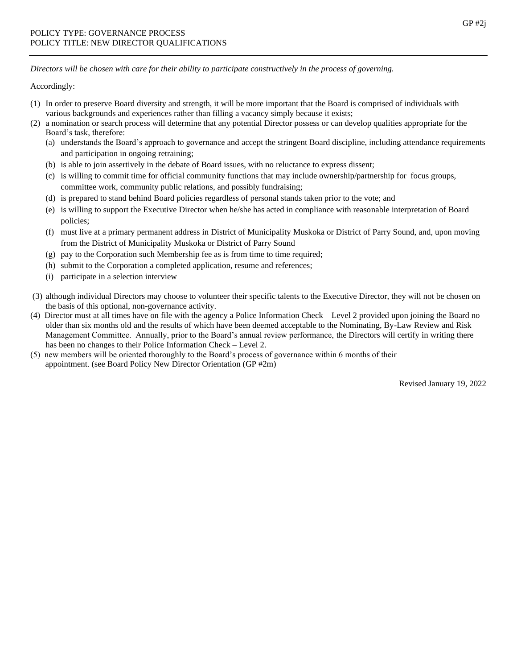*Directors will be chosen with care for their ability to participate constructively in the process of governing.*

Accordingly:

- (1) In order to preserve Board diversity and strength, it will be more important that the Board is comprised of individuals with various backgrounds and experiences rather than filling a vacancy simply because it exists;
- (2) a nomination or search process will determine that any potential Director possess or can develop qualities appropriate for the Board's task, therefore:
	- (a) understands the Board's approach to governance and accept the stringent Board discipline, including attendance requirements and participation in ongoing retraining;
	- (b) is able to join assertively in the debate of Board issues, with no reluctance to express dissent;
	- (c) is willing to commit time for official community functions that may include ownership/partnership for focus groups, committee work, community public relations, and possibly fundraising;
	- (d) is prepared to stand behind Board policies regardless of personal stands taken prior to the vote; and
	- (e) is willing to support the Executive Director when he/she has acted in compliance with reasonable interpretation of Board policies;
	- (f) must live at a primary permanent address in District of Municipality Muskoka or District of Parry Sound, and, upon moving from the District of Municipality Muskoka or District of Parry Sound
	- (g) pay to the Corporation such Membership fee as is from time to time required;
	- (h) submit to the Corporation a completed application, resume and references;
	- (i) participate in a selection interview
- (3) although individual Directors may choose to volunteer their specific talents to the Executive Director, they will not be chosen on the basis of this optional, non-governance activity.
- (4) Director must at all times have on file with the agency a Police Information Check Level 2 provided upon joining the Board no older than six months old and the results of which have been deemed acceptable to the Nominating, By-Law Review and Risk Management Committee. Annually, prior to the Board's annual review performance, the Directors will certify in writing there has been no changes to their Police Information Check – Level 2.
- (5) new members will be oriented thoroughly to the Board's process of governance within 6 months of their appointment. (see Board Policy New Director Orientation (GP #2m)

Revised January 19, 2022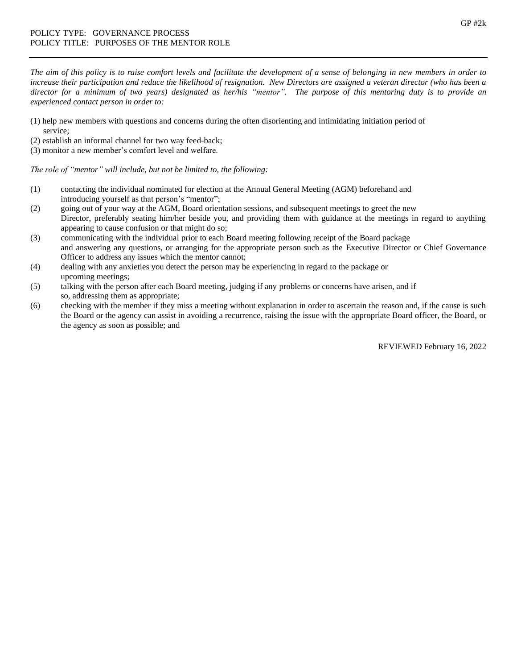*The aim of this policy is to raise comfort levels and facilitate the development of a sense of belonging in new members in order to increase their participation and reduce the likelihood of resignation. New Directo*rs *are assigned a veteran director (who has been a director for a minimum of two years) designated as her/his "mentor". The purpose of this mentoring duty is to provide an experienced contact person in order to:*

- (1) help new members with questions and concerns during the often disorienting and intimidating initiation period of service;
- (2) establish an informal channel for two way feed-back;
- (3) monitor a new member's comfort level and welfare.

*The role of "mentor" will include, but not be limited to, the following:*

- (1) contacting the individual nominated for election at the Annual General Meeting (AGM) beforehand and introducing yourself as that person's "mentor";
- (2) going out of your way at the AGM, Board orientation sessions, and subsequent meetings to greet the new Director, preferably seating him/her beside you, and providing them with guidance at the meetings in regard to anything appearing to cause confusion or that might do so;
- (3) communicating with the individual prior to each Board meeting following receipt of the Board package and answering any questions, or arranging for the appropriate person such as the Executive Director or Chief Governance Officer to address any issues which the mentor cannot;
- (4) dealing with any anxieties you detect the person may be experiencing in regard to the package or upcoming meetings;
- (5) talking with the person after each Board meeting, judging if any problems or concerns have arisen, and if so, addressing them as appropriate;
- (6) checking with the member if they miss a meeting without explanation in order to ascertain the reason and, if the cause is such the Board or the agency can assist in avoiding a recurrence, raising the issue with the appropriate Board officer, the Board, or the agency as soon as possible; and

REVIEWED February 16, 2022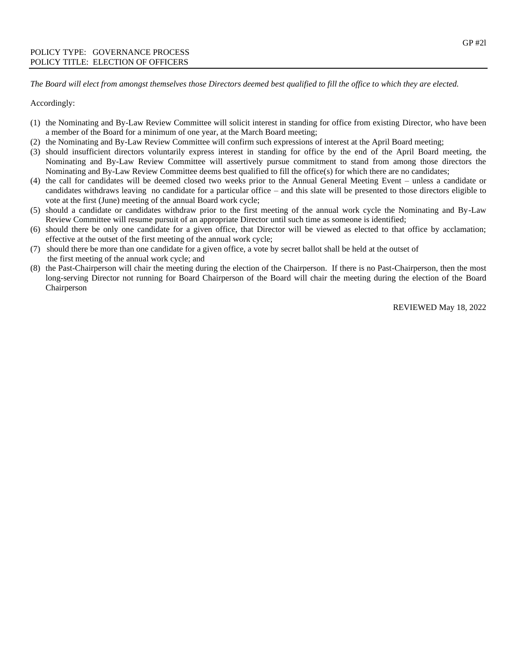*The Board will elect from amongst themselves those Directors deemed best qualified to fill the office to which they are elected.*

Accordingly:

- (1) the Nominating and By-Law Review Committee will solicit interest in standing for office from existing Director, who have been a member of the Board for a minimum of one year, at the March Board meeting;
- (2) the Nominating and By-Law Review Committee will confirm such expressions of interest at the April Board meeting;
- (3) should insufficient directors voluntarily express interest in standing for office by the end of the April Board meeting, the Nominating and By-Law Review Committee will assertively pursue commitment to stand from among those directors the Nominating and By-Law Review Committee deems best qualified to fill the office(s) for which there are no candidates;
- (4) the call for candidates will be deemed closed two weeks prior to the Annual General Meeting Event unless a candidate or candidates withdraws leaving no candidate for a particular office – and this slate will be presented to those directors eligible to vote at the first (June) meeting of the annual Board work cycle;
- (5) should a candidate or candidates withdraw prior to the first meeting of the annual work cycle the Nominating and By-Law Review Committee will resume pursuit of an appropriate Director until such time as someone is identified;
- (6) should there be only one candidate for a given office, that Director will be viewed as elected to that office by acclamation; effective at the outset of the first meeting of the annual work cycle;
- (7) should there be more than one candidate for a given office, a vote by secret ballot shall be held at the outset of the first meeting of the annual work cycle; and
- (8) the Past-Chairperson will chair the meeting during the election of the Chairperson. If there is no Past-Chairperson, then the most long-serving Director not running for Board Chairperson of the Board will chair the meeting during the election of the Board Chairperson

REVIEWED May 18, 2022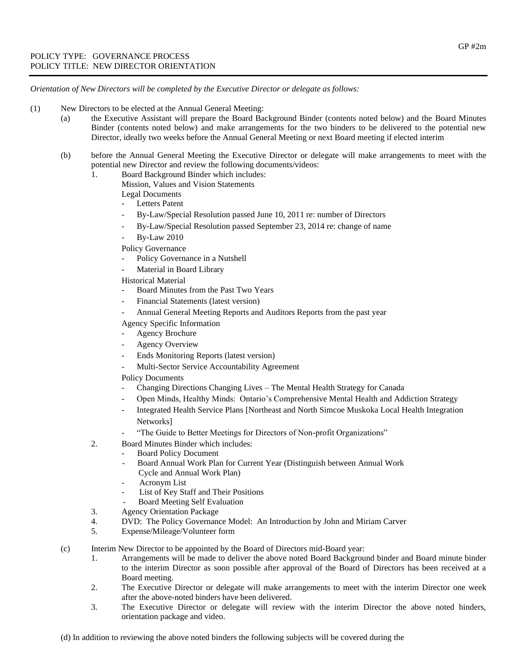*Orientation of New Directors will be completed by the Executive Director or delegate as follows:*

- (1) New Directors to be elected at the Annual General Meeting:
	- (a) the Executive Assistant will prepare the Board Background Binder (contents noted below) and the Board Minutes Binder (contents noted below) and make arrangements for the two binders to be delivered to the potential new Director, ideally two weeks before the Annual General Meeting or next Board meeting if elected interim
		- (b) before the Annual General Meeting the Executive Director or delegate will make arrangements to meet with the potential new Director and review the following documents/videos:
			- 1. Board Background Binder which includes:
				- Mission, Values and Vision Statements
					- Legal Documents
					- Letters Patent
					- By-Law/Special Resolution passed June 10, 2011 re: number of Directors
					- By-Law/Special Resolution passed September 23, 2014 re: change of name
					- By-Law 2010
					- Policy Governance
						- Policy Governance in a Nutshell
					- Material in Board Library

Historical Material

- Board Minutes from the Past Two Years
- Financial Statements (latest version)
- Annual General Meeting Reports and Auditors Reports from the past year

Agency Specific Information

- Agency Brochure
- Agency Overview
- Ends Monitoring Reports (latest version)
- Multi-Sector Service Accountability Agreement

Policy Documents

- Changing Directions Changing Lives The Mental Health Strategy for Canada
- Open Minds, Healthy Minds: Ontario's Comprehensive Mental Health and Addiction Strategy
- Integrated Health Service Plans [Northeast and North Simcoe Muskoka Local Health Integration Networks]
	- "The Guide to Better Meetings for Directors of Non-profit Organizations"
- 2. Board Minutes Binder which includes:
	- Board Policy Document
		- Board Annual Work Plan for Current Year (Distinguish between Annual Work
		- Cycle and Annual Work Plan)
		- Acronym List
		- List of Key Staff and Their Positions
		- Board Meeting Self Evaluation
- 3. Agency Orientation Package
- 4. DVD: The Policy Governance Model: An Introduction by John and Miriam Carver
- 5. Expense/Mileage/Volunteer form
- (c) Interim New Director to be appointed by the Board of Directors mid-Board year:
	- 1. Arrangements will be made to deliver the above noted Board Background binder and Board minute binder to the interim Director as soon possible after approval of the Board of Directors has been received at a Board meeting.
	- 2. The Executive Director or delegate will make arrangements to meet with the interim Director one week after the above-noted binders have been delivered.
	- 3. The Executive Director or delegate will review with the interim Director the above noted binders, orientation package and video.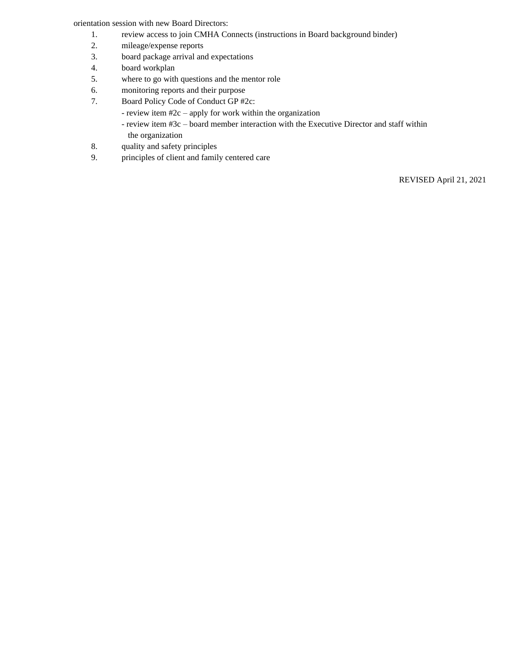orientation session with new Board Directors:

- 1. review access to join CMHA Connects (instructions in Board background binder)
- 2. mileage/expense reports
- 3. board package arrival and expectations
- 4. board workplan
- 5. where to go with questions and the mentor role
- 6. monitoring reports and their purpose
- 7. Board Policy Code of Conduct GP #2c:
	- review item #2c apply for work within the organization
	- review item #3c board member interaction with the Executive Director and staff within the organization
- 8. quality and safety principles
- 9. principles of client and family centered care

REVISED April 21, 2021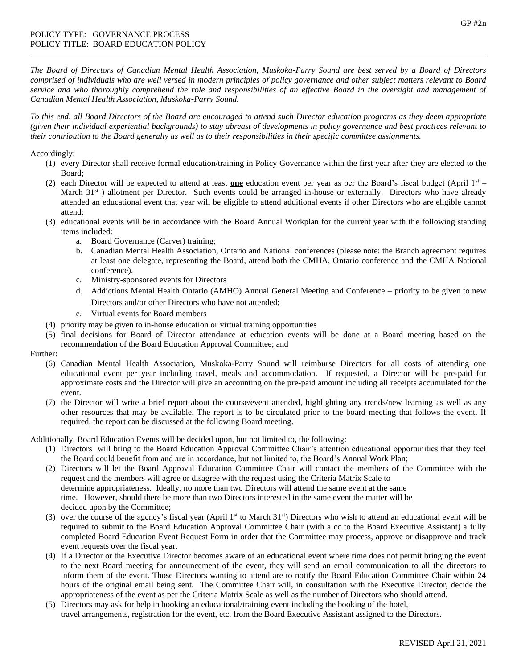*The Board of Directors of Canadian Mental Health Association, Muskoka-Parry Sound are best served by a Board of Directors comprised of individuals who are well versed in modern principles of policy governance and other subject matters relevant to Board service and who thoroughly comprehend the role and responsibilities of an effective Board in the oversight and management of Canadian Mental Health Association, Muskoka-Parry Sound.*

*To this end, all Board Directors of the Board are encouraged to attend such Director education programs as they deem appropriate (given their individual experiential backgrounds) to stay abreast of developments in policy governance and best practices relevant to their contribution to the Board generally as well as to their responsibilities in their specific committee assignments.* 

Accordingly:

- (1) every Director shall receive formal education/training in Policy Governance within the first year after they are elected to the Board;
- (2) each Director will be expected to attend at least **one** education event per year as per the Board's fiscal budget (April 1st March 31<sup>st</sup>) allotment per Director. Such events could be arranged in-house or externally. Directors who have already attended an educational event that year will be eligible to attend additional events if other Directors who are eligible cannot attend;
- (3) educational events will be in accordance with the Board Annual Workplan for the current year with the following standing items included:
	- a. Board Governance (Carver) training;
	- b. Canadian Mental Health Association, Ontario and National conferences (please note: the Branch agreement requires at least one delegate, representing the Board, attend both the CMHA, Ontario conference and the CMHA National conference).
	- c. Ministry-sponsored events for Directors
	- d. Addictions Mental Health Ontario (AMHO) Annual General Meeting and Conference priority to be given to new Directors and/or other Directors who have not attended;
	- e. Virtual events for Board members
- (4) priority may be given to in-house education or virtual training opportunities
- (5) final decisions for Board of Director attendance at education events will be done at a Board meeting based on the recommendation of the Board Education Approval Committee; and

Further:

- (6) Canadian Mental Health Association, Muskoka-Parry Sound will reimburse Directors for all costs of attending one educational event per year including travel, meals and accommodation. If requested, a Director will be pre-paid for approximate costs and the Director will give an accounting on the pre-paid amount including all receipts accumulated for the event.
- (7) the Director will write a brief report about the course/event attended, highlighting any trends/new learning as well as any other resources that may be available. The report is to be circulated prior to the board meeting that follows the event. If required, the report can be discussed at the following Board meeting.

Additionally, Board Education Events will be decided upon, but not limited to, the following:

- (1) Directors will bring to the Board Education Approval Committee Chair's attention educational opportunities that they feel the Board could benefit from and are in accordance, but not limited to, the Board's Annual Work Plan;
- (2) Directors will let the Board Approval Education Committee Chair will contact the members of the Committee with the request and the members will agree or disagree with the request using the Criteria Matrix Scale to determine appropriateness. Ideally, no more than two Directors will attend the same event at the same time. However, should there be more than two Directors interested in the same event the matter will be decided upon by the Committee;
- (3) over the course of the agency's fiscal year (April  $1<sup>st</sup>$  to March 31 $<sup>st</sup>$ ) Directors who wish to attend an educational event will be</sup> required to submit to the Board Education Approval Committee Chair (with a cc to the Board Executive Assistant) a fully completed Board Education Event Request Form in order that the Committee may process, approve or disapprove and track event requests over the fiscal year.
- (4) If a Director or the Executive Director becomes aware of an educational event where time does not permit bringing the event to the next Board meeting for announcement of the event, they will send an email communication to all the directors to inform them of the event. Those Directors wanting to attend are to notify the Board Education Committee Chair within 24 hours of the original email being sent. The Committee Chair will, in consultation with the Executive Director, decide the appropriateness of the event as per the Criteria Matrix Scale as well as the number of Directors who should attend.
- (5) Directors may ask for help in booking an educational/training event including the booking of the hotel, travel arrangements, registration for the event, etc. from the Board Executive Assistant assigned to the Directors.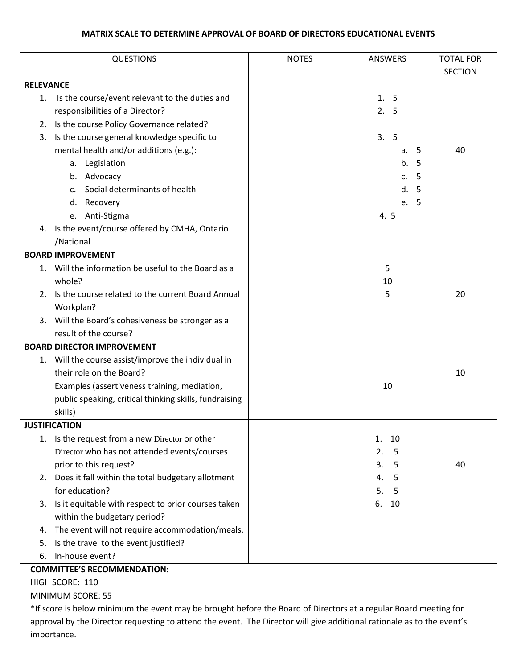## **MATRIX SCALE TO DETERMINE APPROVAL OF BOARD OF DIRECTORS EDUCATIONAL EVENTS**

|                  | <b>QUESTIONS</b>                                       | <b>NOTES</b> | ANSWERS  | <b>TOTAL FOR</b> |
|------------------|--------------------------------------------------------|--------------|----------|------------------|
|                  |                                                        |              |          | <b>SECTION</b>   |
| <b>RELEVANCE</b> |                                                        |              |          |                  |
| 1.               | Is the course/event relevant to the duties and         |              | 1.5      |                  |
|                  | responsibilities of a Director?                        |              | 2.5      |                  |
|                  | 2. Is the course Policy Governance related?            |              |          |                  |
| 3.               | Is the course general knowledge specific to            |              | 3.5      |                  |
|                  | mental health and/or additions (e.g.):                 |              | 5<br>a.  | 40               |
|                  | Legislation<br>а.                                      |              | b.<br>5  |                  |
|                  | b. Advocacy                                            |              | 5<br>c.  |                  |
|                  | Social determinants of health<br>$C_{\star}$           |              | d.<br>5  |                  |
|                  | d.<br>Recovery                                         |              | 5<br>e.  |                  |
|                  | e. Anti-Stigma                                         |              | 4.5      |                  |
|                  | 4. Is the event/course offered by CMHA, Ontario        |              |          |                  |
|                  | /National                                              |              |          |                  |
|                  | <b>BOARD IMPROVEMENT</b>                               |              |          |                  |
|                  | 1. Will the information be useful to the Board as a    |              | 5        |                  |
|                  | whole?                                                 |              | 10       |                  |
|                  | 2. Is the course related to the current Board Annual   |              | 5        | 20               |
|                  | Workplan?                                              |              |          |                  |
|                  | 3. Will the Board's cohesiveness be stronger as a      |              |          |                  |
|                  | result of the course?                                  |              |          |                  |
|                  | <b>BOARD DIRECTOR IMPROVEMENT</b>                      |              |          |                  |
|                  | 1. Will the course assist/improve the individual in    |              |          |                  |
|                  | their role on the Board?                               |              |          | 10               |
|                  | Examples (assertiveness training, mediation,           |              | 10       |                  |
|                  | public speaking, critical thinking skills, fundraising |              |          |                  |
|                  | skills)                                                |              |          |                  |
|                  | <b>JUSTIFICATION</b>                                   |              |          |                  |
|                  | 1. Is the request from a new Director or other         |              | 1.<br>10 |                  |
|                  | Director who has not attended events/courses           |              | 2.<br>5  |                  |
|                  | prior to this request?                                 |              | 3.<br>5  | 40               |
|                  | 2. Does it fall within the total budgetary allotment   |              | 5<br>4.  |                  |
|                  | for education?                                         |              | 5.<br>5  |                  |
|                  | 3. Is it equitable with respect to prior courses taken |              | 6.<br>10 |                  |
|                  | within the budgetary period?                           |              |          |                  |
| 4.               | The event will not require accommodation/meals.        |              |          |                  |
| 5.               | Is the travel to the event justified?                  |              |          |                  |
| 6.               | In-house event?                                        |              |          |                  |

## **COMMITTEE'S RECOMMENDATION:**

HIGH SCORE: 110

MINIMUM SCORE: 55

\*If score is below minimum the event may be brought before the Board of Directors at a regular Board meeting for approval by the Director requesting to attend the event. The Director will give additional rationale as to the event's importance.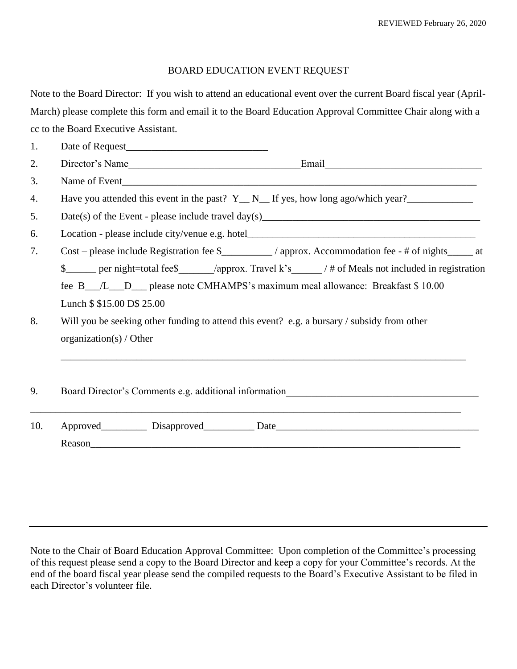## BOARD EDUCATION EVENT REQUEST

Note to the Board Director: If you wish to attend an educational event over the current Board fiscal year (April-March) please complete this form and email it to the Board Education Approval Committee Chair along with a cc to the Board Executive Assistant.

| 1.  |                                                                                                             |  |  |  |
|-----|-------------------------------------------------------------------------------------------------------------|--|--|--|
| 2.  | Director's Name                                                                                             |  |  |  |
| 3.  |                                                                                                             |  |  |  |
| 4.  | Have you attended this event in the past? $Y_N_N$ . If yes, how long ago/which year?                        |  |  |  |
| 5.  |                                                                                                             |  |  |  |
| 6.  |                                                                                                             |  |  |  |
| 7.  | Cost – please include Registration fee \$________/ approx. Accommodation fee - # of nights_____ at          |  |  |  |
|     | \$ _____ per night=total fee\$ _______/approx. Travel k's ________/ # of Meals not included in registration |  |  |  |
|     | fee B_/L_D_ please note CMHAMPS's maximum meal allowance: Breakfast \$10.00                                 |  |  |  |
|     | Lunch \$ \$15.00 D\$ 25.00                                                                                  |  |  |  |
| 8.  | Will you be seeking other funding to attend this event? e.g. a bursary / subsidy from other                 |  |  |  |
|     | organization(s) / Other                                                                                     |  |  |  |
|     |                                                                                                             |  |  |  |
|     |                                                                                                             |  |  |  |
| 9.  | Board Director's Comments e.g. additional information____________________________                           |  |  |  |
|     |                                                                                                             |  |  |  |
| 10. |                                                                                                             |  |  |  |
|     |                                                                                                             |  |  |  |
|     |                                                                                                             |  |  |  |

Note to the Chair of Board Education Approval Committee: Upon completion of the Committee's processing of this request please send a copy to the Board Director and keep a copy for your Committee's records. At the end of the board fiscal year please send the compiled requests to the Board's Executive Assistant to be filed in each Director's volunteer file.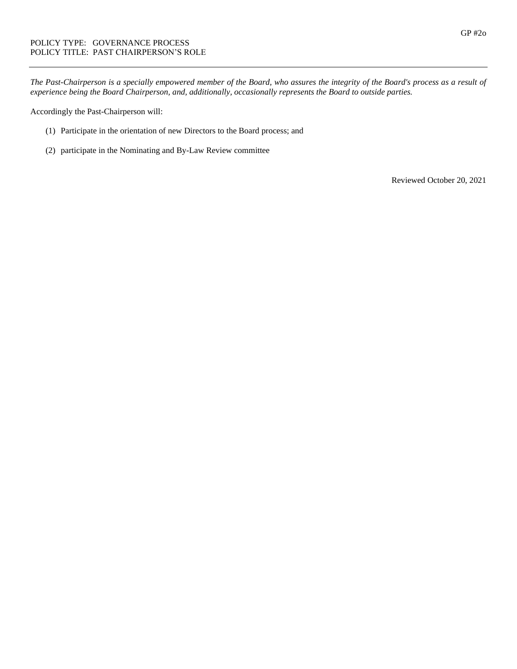*The Past-Chairperson is a specially empowered member of the Board, who assures the integrity of the Board's process as a result of experience being the Board Chairperson, and, additionally, occasionally represents the Board to outside parties.* 

Accordingly the Past-Chairperson will:

- (1) Participate in the orientation of new Directors to the Board process; and
- (2) participate in the Nominating and By-Law Review committee

Reviewed October 20, 2021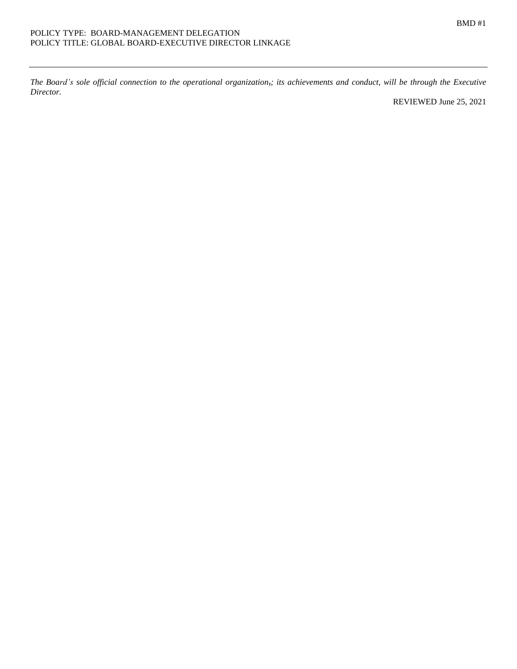*The Board's sole official connection to the operational organization,; its achievements and conduct, will be through the Executive Director.*

REVIEWED June 25, 2021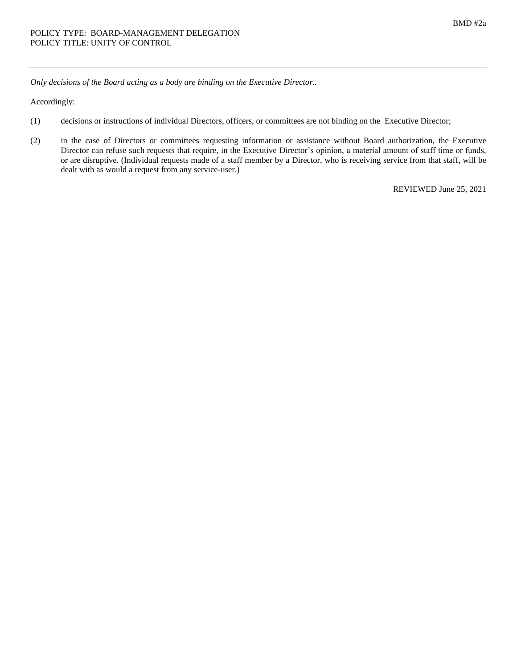*Only decisions of the Board acting as a body are binding on the Executive Director..*

Accordingly:

- (1) decisions or instructions of individual Directors, officers, or committees are not binding on the Executive Director;
- (2) in the case of Directors or committees requesting information or assistance without Board authorization, the Executive Director can refuse such requests that require, in the Executive Director's opinion, a material amount of staff time or funds, or are disruptive. (Individual requests made of a staff member by a Director, who is receiving service from that staff, will be dealt with as would a request from any service-user.)

REVIEWED June 25, 2021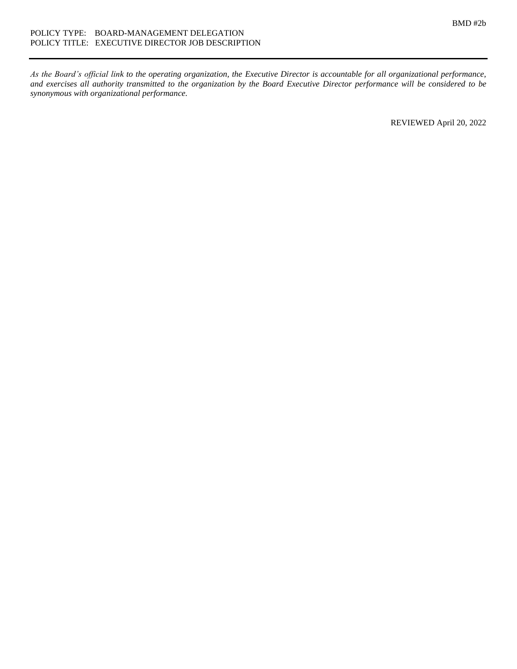*As the Board's official link to the operating organization, the Executive Director is accountable for all organizational performance, and exercises all authority transmitted to the organization by the Board Executive Director performance will be considered to be synonymous with organizational performance.*

REVIEWED April 20, 2022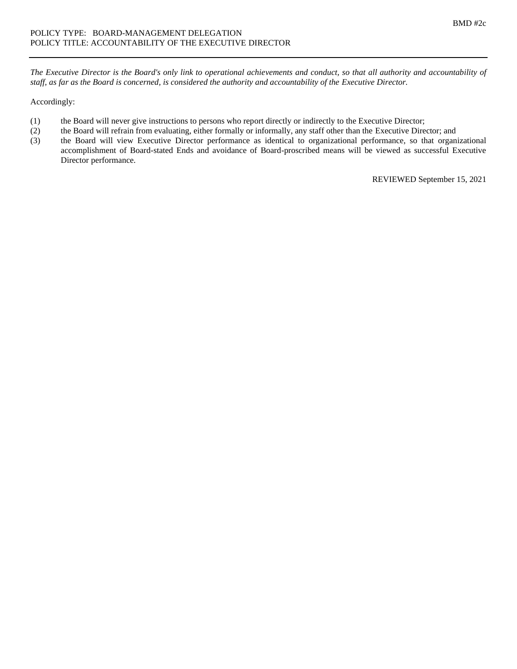*The Executive Director is the Board's only link to operational achievements and conduct, so that all authority and accountability of staff, as far as the Board is concerned, is considered the authority and accountability of the Executive Director.*

## Accordingly:

- (1) the Board will never give instructions to persons who report directly or indirectly to the Executive Director;
- (2) the Board will refrain from evaluating, either formally or informally, any staff other than the Executive Director; and
- (3) the Board will view Executive Director performance as identical to organizational performance, so that organizational accomplishment of Board-stated Ends and avoidance of Board-proscribed means will be viewed as successful Executive Director performance.

REVIEWED September 15, 2021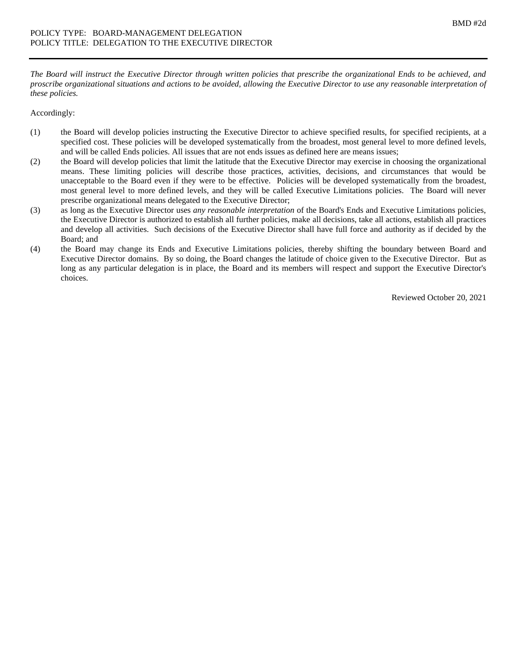*The Board will instruct the Executive Director through written policies that prescribe the organizational Ends to be achieved, and proscribe organizational situations and actions to be avoided, allowing the Executive Director to use any reasonable interpretation of these policies.*

Accordingly:

- (1) the Board will develop policies instructing the Executive Director to achieve specified results, for specified recipients, at a specified cost. These policies will be developed systematically from the broadest, most general level to more defined levels, and will be called Ends policies. All issues that are not ends issues as defined here are means issues;
- (2) the Board will develop policies that limit the latitude that the Executive Director may exercise in choosing the organizational means. These limiting policies will describe those practices, activities, decisions, and circumstances that would be unacceptable to the Board even if they were to be effective. Policies will be developed systematically from the broadest, most general level to more defined levels, and they will be called Executive Limitations policies. The Board will never prescribe organizational means delegated to the Executive Director;
- (3) as long as the Executive Director uses *any reasonable interpretation* of the Board's Ends and Executive Limitations policies, the Executive Director is authorized to establish all further policies, make all decisions, take all actions, establish all practices and develop all activities. Such decisions of the Executive Director shall have full force and authority as if decided by the Board; and
- (4) the Board may change its Ends and Executive Limitations policies, thereby shifting the boundary between Board and Executive Director domains. By so doing, the Board changes the latitude of choice given to the Executive Director. But as long as any particular delegation is in place, the Board and its members will respect and support the Executive Director's choices.

Reviewed October 20, 2021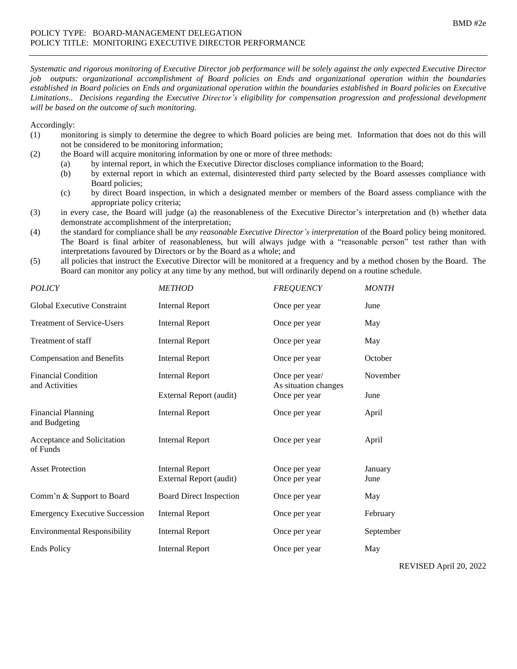*Systematic and rigorous monitoring of Executive Director job performance will be solely against the only expected Executive Director job outputs: organizational accomplishment of Board policies on Ends and organizational operation within the boundaries established in Board policies on Ends and organizational operation within the boundaries established in Board policies on Executive Limitations.. Decisions regarding the Executive Director's eligibility for compensation progression and professional development will be based on the outcome of such monitoring.*

### Accordingly:

- (1) monitoring is simply to determine the degree to which Board policies are being met. Information that does not do this will not be considered to be monitoring information;
- (2) the Board will acquire monitoring information by one or more of three methods:
	- (a) by internal report, in which the Executive Director discloses compliance information to the Board;
	- (b) by external report in which an external, disinterested third party selected by the Board assesses compliance with Board policies;
	- (c) by direct Board inspection, in which a designated member or members of the Board assess compliance with the appropriate policy criteria;
- (3) in every case, the Board will judge (a) the reasonableness of the Executive Director's interpretation and (b) whether data demonstrate accomplishment of the interpretation;
- (4) the standard for compliance shall be *any reasonable Executive Director's interpretation* of the Board policy being monitored. The Board is final arbiter of reasonableness, but will always judge with a "reasonable person" test rather than with interpretations favoured by Directors or by the Board as a whole; and
- (5) all policies that instruct the Executive Director will be monitored at a frequency and by a method chosen by the Board. The Board can monitor any policy at any time by any method, but will ordinarily depend on a routine schedule.

| <b>POLICY</b>                                | <b>METHOD</b>                                     | <b>FREQUENCY</b>                       | <b>MONTH</b>    |
|----------------------------------------------|---------------------------------------------------|----------------------------------------|-----------------|
| <b>Global Executive Constraint</b>           | <b>Internal Report</b>                            | Once per year                          | June            |
| <b>Treatment of Service-Users</b>            | <b>Internal Report</b>                            | Once per year                          | May             |
| Treatment of staff                           | <b>Internal Report</b>                            | Once per year                          | May             |
| <b>Compensation and Benefits</b>             | <b>Internal Report</b>                            | Once per year                          | October         |
| <b>Financial Condition</b><br>and Activities | <b>Internal Report</b>                            | Once per year/<br>As situation changes | November        |
|                                              | External Report (audit)                           | Once per year                          | June            |
| <b>Financial Planning</b><br>and Budgeting   | <b>Internal Report</b>                            | Once per year                          | April           |
| Acceptance and Solicitation<br>of Funds      | <b>Internal Report</b>                            | Once per year                          | April           |
| <b>Asset Protection</b>                      | <b>Internal Report</b><br>External Report (audit) | Once per year<br>Once per year         | January<br>June |
| Comm'n & Support to Board                    | <b>Board Direct Inspection</b>                    | Once per year                          | May             |
| <b>Emergency Executive Succession</b>        | <b>Internal Report</b>                            | Once per year                          | February        |
| <b>Environmental Responsibility</b>          | <b>Internal Report</b>                            | Once per year                          | September       |
| <b>Ends Policy</b>                           | <b>Internal Report</b>                            | Once per year                          | May             |
|                                              |                                                   |                                        |                 |

REVISED April 20, 2022